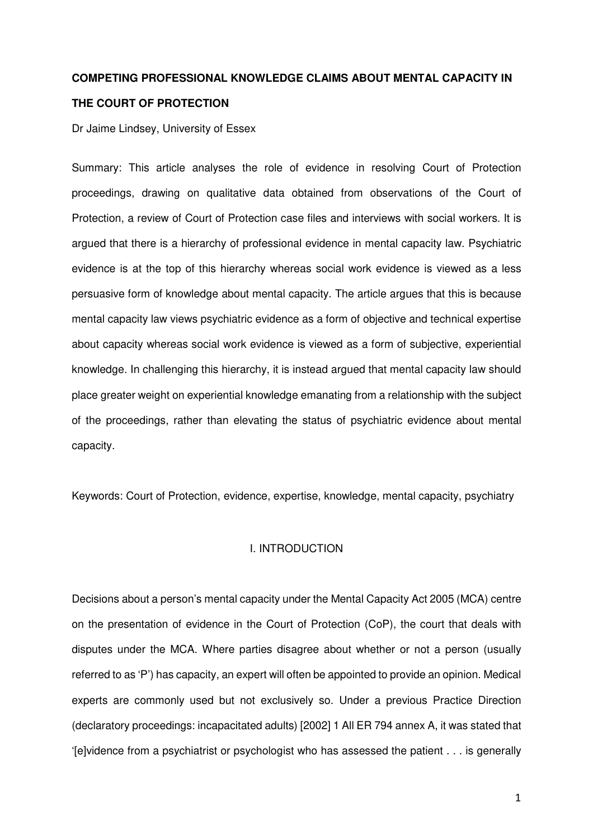# **COMPETING PROFESSIONAL KNOWLEDGE CLAIMS ABOUT MENTAL CAPACITY IN THE COURT OF PROTECTION**

Dr Jaime Lindsey, University of Essex

Summary: This article analyses the role of evidence in resolving Court of Protection proceedings, drawing on qualitative data obtained from observations of the Court of Protection, a review of Court of Protection case files and interviews with social workers. It is argued that there is a hierarchy of professional evidence in mental capacity law. Psychiatric evidence is at the top of this hierarchy whereas social work evidence is viewed as a less persuasive form of knowledge about mental capacity. The article argues that this is because mental capacity law views psychiatric evidence as a form of objective and technical expertise about capacity whereas social work evidence is viewed as a form of subjective, experiential knowledge. In challenging this hierarchy, it is instead argued that mental capacity law should place greater weight on experiential knowledge emanating from a relationship with the subject of the proceedings, rather than elevating the status of psychiatric evidence about mental capacity.

Keywords: Court of Protection, evidence, expertise, knowledge, mental capacity, psychiatry

### I. INTRODUCTION

Decisions about a person's mental capacity under the Mental Capacity Act 2005 (MCA) centre on the presentation of evidence in the Court of Protection (CoP), the court that deals with disputes under the MCA. Where parties disagree about whether or not a person (usually referred to as 'P') has capacity, an expert will often be appointed to provide an opinion. Medical experts are commonly used but not exclusively so. Under a previous Practice Direction (declaratory proceedings: incapacitated adults) [2002] 1 All ER 794 annex A, it was stated that '[e]vidence from a psychiatrist or psychologist who has assessed the patient . . . is generally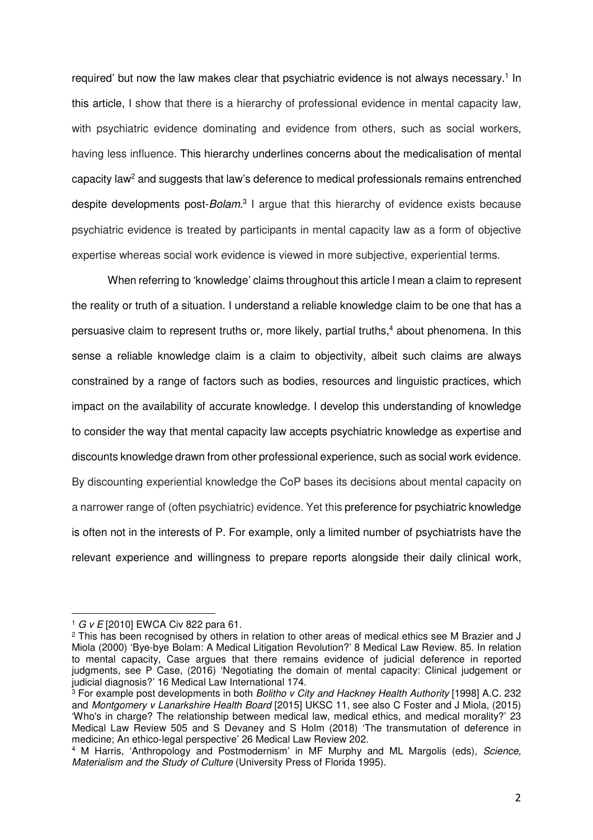required' but now the law makes clear that psychiatric evidence is not always necessary.<sup>1</sup> In this article, I show that there is a hierarchy of professional evidence in mental capacity law, with psychiatric evidence dominating and evidence from others, such as social workers, having less influence. This hierarchy underlines concerns about the medicalisation of mental capacity law<sup>2</sup> and suggests that law's deference to medical professionals remains entrenched despite developments post-*Bolam*.<sup>3</sup> I argue that this hierarchy of evidence exists because psychiatric evidence is treated by participants in mental capacity law as a form of objective expertise whereas social work evidence is viewed in more subjective, experiential terms.

When referring to 'knowledge' claims throughout this article I mean a claim to represent the reality or truth of a situation. I understand a reliable knowledge claim to be one that has a persuasive claim to represent truths or, more likely, partial truths,<sup>4</sup> about phenomena. In this sense a reliable knowledge claim is a claim to objectivity, albeit such claims are always constrained by a range of factors such as bodies, resources and linguistic practices, which impact on the availability of accurate knowledge. I develop this understanding of knowledge to consider the way that mental capacity law accepts psychiatric knowledge as expertise and discounts knowledge drawn from other professional experience, such as social work evidence. By discounting experiential knowledge the CoP bases its decisions about mental capacity on a narrower range of (often psychiatric) evidence. Yet this preference for psychiatric knowledge is often not in the interests of P. For example, only a limited number of psychiatrists have the relevant experience and willingness to prepare reports alongside their daily clinical work,

<sup>1</sup> *G v E* [2010] EWCA Civ 822 para 61.

<sup>2</sup> This has been recognised by others in relation to other areas of medical ethics see M Brazier and J Miola (2000) 'Bye-bye Bolam: A Medical Litigation Revolution?' 8 Medical Law Review. 85. In relation to mental capacity, Case argues that there remains evidence of judicial deference in reported judgments, see P Case, (2016) 'Negotiating the domain of mental capacity: Clinical judgement or judicial diagnosis?' 16 Medical Law International 174.

<sup>3</sup> For example post developments in both *Bolitho v City and Hackney Health Authority* [1998] A.C. 232 and *Montgomery v Lanarkshire Health Board* [2015] UKSC 11, see also C Foster and J Miola, (2015) 'Who's in charge? The relationship between medical law, medical ethics, and medical morality?' 23 Medical Law Review 505 and S Devaney and S Holm (2018) 'The transmutation of deference in medicine; An ethico-legal perspective' 26 Medical Law Review 202.

<sup>4</sup> M Harris, 'Anthropology and Postmodernism' in MF Murphy and ML Margolis (eds), *Science, Materialism and the Study of Culture* (University Press of Florida 1995).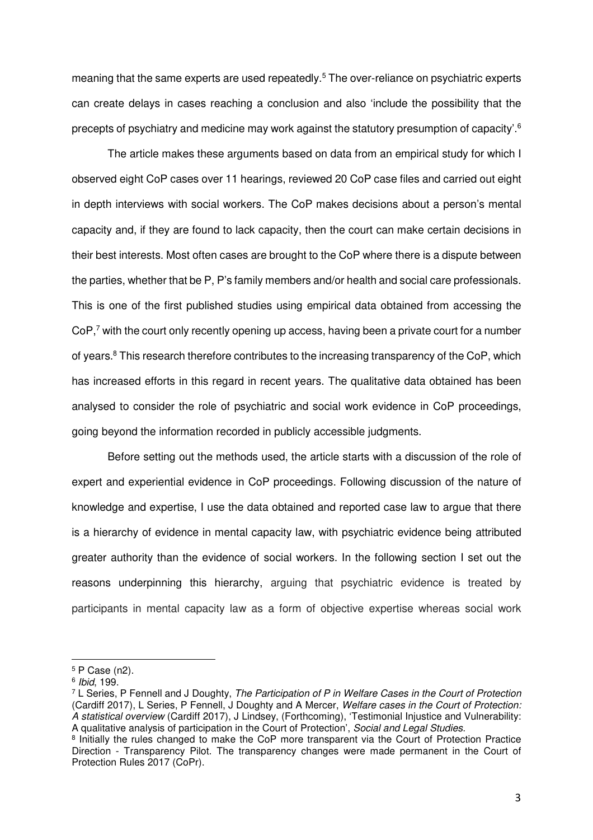meaning that the same experts are used repeatedly.<sup>5</sup> The over-reliance on psychiatric experts can create delays in cases reaching a conclusion and also 'include the possibility that the precepts of psychiatry and medicine may work against the statutory presumption of capacity'.<sup>6</sup>

The article makes these arguments based on data from an empirical study for which I observed eight CoP cases over 11 hearings, reviewed 20 CoP case files and carried out eight in depth interviews with social workers. The CoP makes decisions about a person's mental capacity and, if they are found to lack capacity, then the court can make certain decisions in their best interests. Most often cases are brought to the CoP where there is a dispute between the parties, whether that be P, P's family members and/or health and social care professionals. This is one of the first published studies using empirical data obtained from accessing the CoP,<sup>7</sup> with the court only recently opening up access, having been a private court for a number of years.<sup>8</sup> This research therefore contributes to the increasing transparency of the CoP, which has increased efforts in this regard in recent years. The qualitative data obtained has been analysed to consider the role of psychiatric and social work evidence in CoP proceedings, going beyond the information recorded in publicly accessible judgments.

Before setting out the methods used, the article starts with a discussion of the role of expert and experiential evidence in CoP proceedings. Following discussion of the nature of knowledge and expertise, I use the data obtained and reported case law to argue that there is a hierarchy of evidence in mental capacity law, with psychiatric evidence being attributed greater authority than the evidence of social workers. In the following section I set out the reasons underpinning this hierarchy, arguing that psychiatric evidence is treated by participants in mental capacity law as a form of objective expertise whereas social work

<sup>&</sup>lt;sup>5</sup> P Case (n2).

<sup>6</sup> *Ibid*, 199.

<sup>7</sup> L Series, P Fennell and J Doughty, *The Participation of P in Welfare Cases in the Court of Protection*  (Cardiff 2017), L Series, P Fennell, J Doughty and A Mercer, *Welfare cases in the Court of Protection: A statistical overview* (Cardiff 2017), J Lindsey, (Forthcoming), 'Testimonial Injustice and Vulnerability: A qualitative analysis of participation in the Court of Protection', *Social and Legal Studies*.

<sup>&</sup>lt;sup>8</sup> Initially the rules changed to make the CoP more transparent via the Court of Protection Practice Direction - Transparency Pilot. The transparency changes were made permanent in the Court of Protection Rules 2017 (CoPr).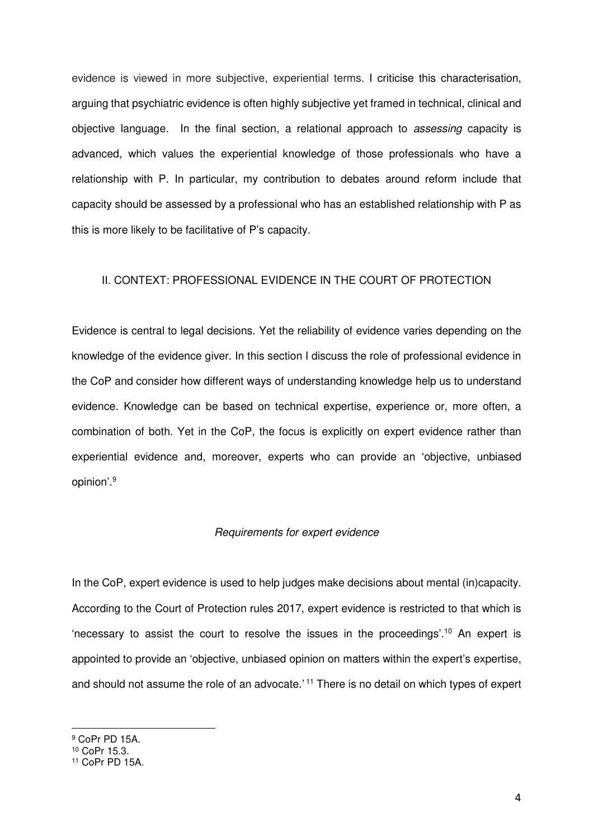evidence is viewed in more subjective, experiential terms. I criticise this characterisation, arguing that psychiatric evidence is often highly subjective yet framed in technical, clinical and objective language. In the final section, a relational approach to *assessing* capacity is advanced, which values the experiential knowledge of those professionals who have a relationship with P. In particular, my contribution to debates around reform include that capacity should be assessed by a professional who has an established relationship with P as this is more likely to be facilitative of P's capacity.

# II. CONTEXT: PROFESSIONAL EVIDENCE IN THE COURT OF PROTECTION

Evidence is central to legal decisions. Yet the reliability of evidence varies depending on the knowledge of the evidence giver. In this section I discuss the role of professional evidence in the CoP and consider how different ways of understanding knowledge help us to understand evidence. Knowledge can be based on technical expertise, experience or, more often, a combination of both. Yet in the CoP, the focus is explicitly on expert evidence rather than experiential evidence and, moreover, experts who can provide an 'objective, unbiased opinion'.<sup>9</sup>

### *Requirements for expert evidence*

In the CoP, expert evidence is used to help judges make decisions about mental (in)capacity. According to the Court of Protection rules 2017, expert evidence is restricted to that which is 'necessary to assist the court to resolve the issues in the proceedings'.<sup>10</sup> An expert is appointed to provide an 'objective, unbiased opinion on matters within the expert's expertise, and should not assume the role of an advocate.'<sup>11</sup> There is no detail on which types of expert

<sup>9</sup> CoPr PD 15A.

<sup>10</sup> CoPr 15.3.

<sup>11</sup> CoPr PD 15A.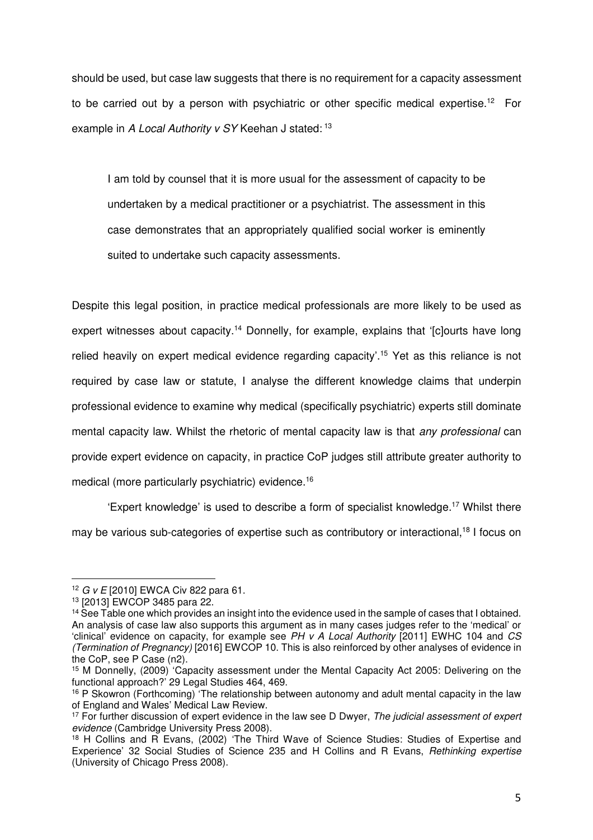should be used, but case law suggests that there is no requirement for a capacity assessment to be carried out by a person with psychiatric or other specific medical expertise.<sup>12</sup> For example in *A Local Authority v SY* Keehan J stated: <sup>13</sup>

I am told by counsel that it is more usual for the assessment of capacity to be undertaken by a medical practitioner or a psychiatrist. The assessment in this case demonstrates that an appropriately qualified social worker is eminently suited to undertake such capacity assessments.

Despite this legal position, in practice medical professionals are more likely to be used as expert witnesses about capacity.<sup>14</sup> Donnelly, for example, explains that '[c]ourts have long relied heavily on expert medical evidence regarding capacity'.<sup>15</sup> Yet as this reliance is not required by case law or statute, I analyse the different knowledge claims that underpin professional evidence to examine why medical (specifically psychiatric) experts still dominate mental capacity law. Whilst the rhetoric of mental capacity law is that *any professional* can provide expert evidence on capacity, in practice CoP judges still attribute greater authority to medical (more particularly psychiatric) evidence.<sup>16</sup>

'Expert knowledge' is used to describe a form of specialist knowledge.<sup>17</sup> Whilst there may be various sub-categories of expertise such as contributory or interactional,<sup>18</sup> I focus on

<sup>12</sup> *G v E* [2010] EWCA Civ 822 para 61.

<sup>13</sup> [2013] EWCOP 3485 para 22.

<sup>&</sup>lt;sup>14</sup> See Table one which provides an insight into the evidence used in the sample of cases that I obtained. An analysis of case law also supports this argument as in many cases judges refer to the 'medical' or 'clinical' evidence on capacity, for example see *PH v A Local Authority* [2011] EWHC 104 and *CS (Termination of Pregnancy)* [2016] EWCOP 10. This is also reinforced by other analyses of evidence in the CoP, see P Case (n2).

<sup>&</sup>lt;sup>15</sup> M Donnelly, (2009) 'Capacity assessment under the Mental Capacity Act 2005: Delivering on the functional approach?' 29 Legal Studies 464, 469.

<sup>&</sup>lt;sup>16</sup> P Skowron (Forthcoming) The relationship between autonomy and adult mental capacity in the law of England and Wales' Medical Law Review.

<sup>17</sup> For further discussion of expert evidence in the law see D Dwyer, *The judicial assessment of expert evidence* (Cambridge University Press 2008).

<sup>&</sup>lt;sup>18</sup> H Collins and R Evans, (2002) 'The Third Wave of Science Studies: Studies of Expertise and Experience' 32 Social Studies of Science 235 and H Collins and R Evans, *Rethinking expertise* (University of Chicago Press 2008).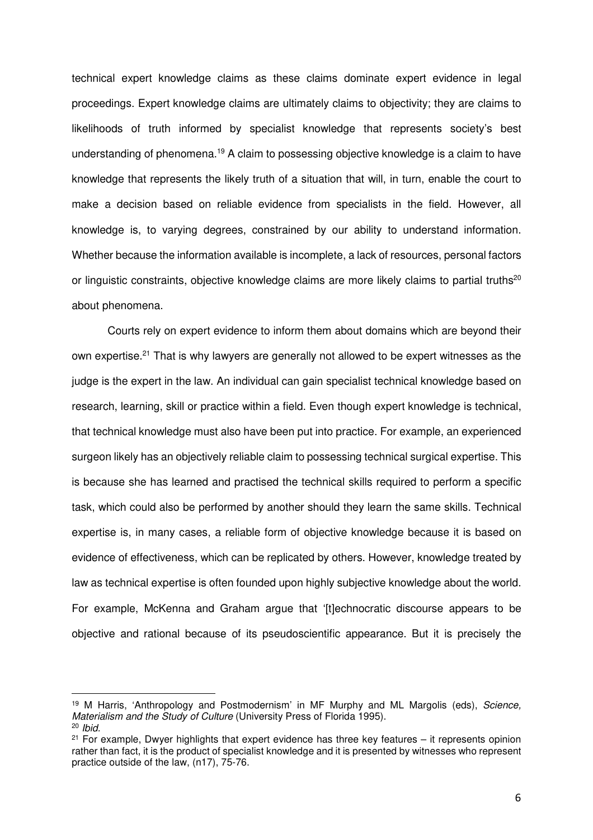technical expert knowledge claims as these claims dominate expert evidence in legal proceedings. Expert knowledge claims are ultimately claims to objectivity; they are claims to likelihoods of truth informed by specialist knowledge that represents society's best understanding of phenomena.<sup>19</sup> A claim to possessing objective knowledge is a claim to have knowledge that represents the likely truth of a situation that will, in turn, enable the court to make a decision based on reliable evidence from specialists in the field. However, all knowledge is, to varying degrees, constrained by our ability to understand information. Whether because the information available is incomplete, a lack of resources, personal factors or linguistic constraints, objective knowledge claims are more likely claims to partial truths<sup>20</sup> about phenomena.

Courts rely on expert evidence to inform them about domains which are beyond their own expertise.<sup>21</sup> That is why lawyers are generally not allowed to be expert witnesses as the judge is the expert in the law. An individual can gain specialist technical knowledge based on research, learning, skill or practice within a field. Even though expert knowledge is technical, that technical knowledge must also have been put into practice. For example, an experienced surgeon likely has an objectively reliable claim to possessing technical surgical expertise. This is because she has learned and practised the technical skills required to perform a specific task, which could also be performed by another should they learn the same skills. Technical expertise is, in many cases, a reliable form of objective knowledge because it is based on evidence of effectiveness, which can be replicated by others. However, knowledge treated by law as technical expertise is often founded upon highly subjective knowledge about the world. For example, McKenna and Graham argue that '[t]echnocratic discourse appears to be objective and rational because of its pseudoscientific appearance. But it is precisely the

<sup>19</sup> M Harris, 'Anthropology and Postmodernism' in MF Murphy and ML Margolis (eds), *Science, Materialism and the Study of Culture* (University Press of Florida 1995). <sup>20</sup> *Ibid.*

 $21$  For example, Dwyer highlights that expert evidence has three key features – it represents opinion rather than fact, it is the product of specialist knowledge and it is presented by witnesses who represent practice outside of the law, (n17), 75-76.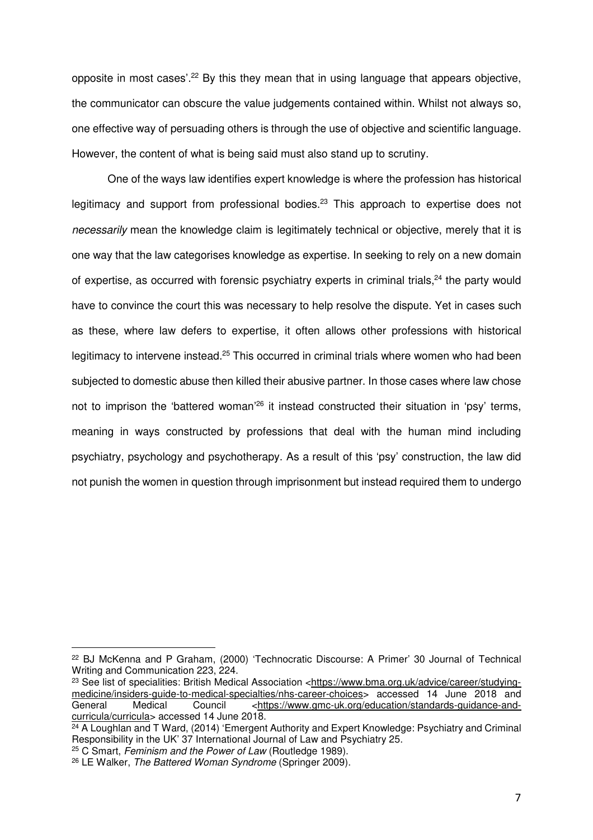opposite in most cases'.<sup>22</sup> By this they mean that in using language that appears objective, the communicator can obscure the value judgements contained within. Whilst not always so, one effective way of persuading others is through the use of objective and scientific language. However, the content of what is being said must also stand up to scrutiny.

One of the ways law identifies expert knowledge is where the profession has historical legitimacy and support from professional bodies.<sup>23</sup> This approach to expertise does not *necessarily* mean the knowledge claim is legitimately technical or objective, merely that it is one way that the law categorises knowledge as expertise. In seeking to rely on a new domain of expertise, as occurred with forensic psychiatry experts in criminal trials.<sup>24</sup> the party would have to convince the court this was necessary to help resolve the dispute. Yet in cases such as these, where law defers to expertise, it often allows other professions with historical legitimacy to intervene instead.<sup>25</sup> This occurred in criminal trials where women who had been subjected to domestic abuse then killed their abusive partner. In those cases where law chose not to imprison the 'battered woman<sup>'26</sup> it instead constructed their situation in 'psy' terms, meaning in ways constructed by professions that deal with the human mind including psychiatry, psychology and psychotherapy. As a result of this 'psy' construction, the law did not punish the women in question through imprisonment but instead required them to undergo

<sup>22</sup> BJ McKenna and P Graham, (2000) 'Technocratic Discourse: A Primer' 30 Journal of Technical Writing and Communication 223, 224.

<sup>&</sup>lt;sup>23</sup> See list of specialities: British Medical Association <https://www.bma.org.uk/advice/career/studyingmedicine/insiders-guide-to-medical-specialties/nhs-career-choices> accessed 14 June 2018 and<br>General Medical Council <https://www.gmc-uk.org/education/standards-guidance-and-General Medical Council <https://www.gmc-uk.org/education/standards-guidance-andcurricula/curricula> accessed 14 June 2018.

 $24$  A Loughlan and T Ward, (2014) 'Emergent Authority and Expert Knowledge: Psychiatry and Criminal Responsibility in the UK' 37 International Journal of Law and Psychiatry 25.

<sup>25</sup> C Smart, *Feminism and the Power of Law* (Routledge 1989).

<sup>26</sup> LE Walker, *The Battered Woman Syndrome* (Springer 2009).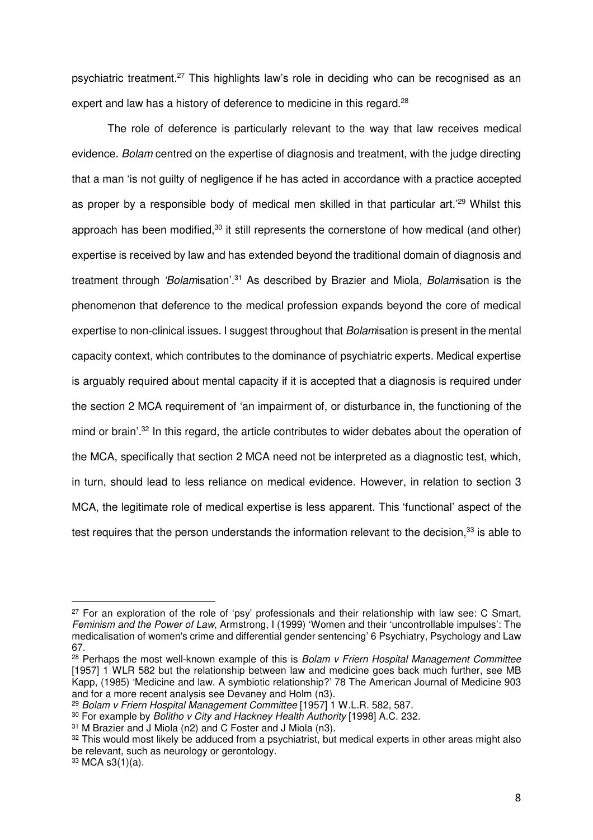psychiatric treatment.<sup>27</sup> This highlights law's role in deciding who can be recognised as an expert and law has a history of deference to medicine in this regard.<sup>28</sup>

The role of deference is particularly relevant to the way that law receives medical evidence. *Bolam* centred on the expertise of diagnosis and treatment, with the judge directing that a man 'is not guilty of negligence if he has acted in accordance with a practice accepted as proper by a responsible body of medical men skilled in that particular art.<sup>29</sup> Whilst this approach has been modified, $30$  it still represents the cornerstone of how medical (and other) expertise is received by law and has extended beyond the traditional domain of diagnosis and treatment through *'Bolam*isation'.<sup>31</sup> As described by Brazier and Miola, *Bolam*isation is the phenomenon that deference to the medical profession expands beyond the core of medical expertise to non-clinical issues. I suggest throughout that *Bolam*isation is present in the mental capacity context, which contributes to the dominance of psychiatric experts. Medical expertise is arguably required about mental capacity if it is accepted that a diagnosis is required under the section 2 MCA requirement of 'an impairment of, or disturbance in, the functioning of the mind or brain'.<sup>32</sup> In this regard, the article contributes to wider debates about the operation of the MCA, specifically that section 2 MCA need not be interpreted as a diagnostic test, which, in turn, should lead to less reliance on medical evidence. However, in relation to section 3 MCA, the legitimate role of medical expertise is less apparent. This 'functional' aspect of the test requires that the person understands the information relevant to the decision,<sup>33</sup> is able to

<sup>&</sup>lt;sup>27</sup> For an exploration of the role of 'psy' professionals and their relationship with law see: C Smart, *Feminism and the Power of Law*, Armstrong, I (1999) 'Women and their 'uncontrollable impulses': The medicalisation of women's crime and differential gender sentencing' 6 Psychiatry, Psychology and Law 67.

<sup>28</sup> Perhaps the most well-known example of this is *Bolam v Friern Hospital Management Committee* [1957] 1 WLR 582 but the relationship between law and medicine goes back much further, see MB Kapp, (1985) 'Medicine and law. A symbiotic relationship?' 78 The American Journal of Medicine 903 and for a more recent analysis see Devaney and Holm (n3).

<sup>29</sup> *Bolam v Friern Hospital Management Committee* [1957] 1 W.L.R. 582, 587.

<sup>30</sup> For example by *Bolitho v City and Hackney Health Authority* [1998] A.C. 232.

<sup>31</sup> M Brazier and J Miola (n2) and C Foster and J Miola (n3).

<sup>&</sup>lt;sup>32</sup> This would most likely be adduced from a psychiatrist, but medical experts in other areas might also be relevant, such as neurology or gerontology.

 $33$  MCA s $3(1)(a)$ .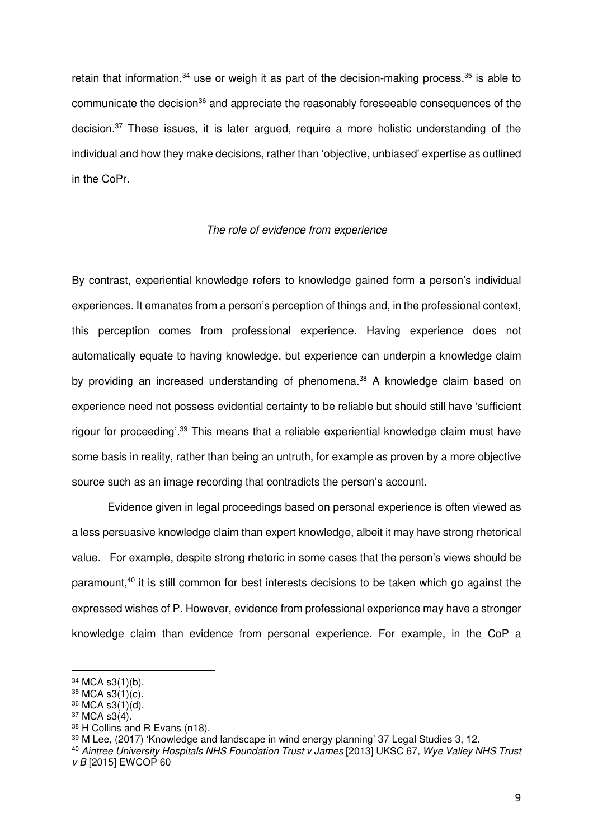retain that information, $34$  use or weigh it as part of the decision-making process,  $35$  is able to communicate the decision<sup>36</sup> and appreciate the reasonably foreseeable consequences of the decision.<sup>37</sup> These issues, it is later argued, require a more holistic understanding of the individual and how they make decisions, rather than 'objective, unbiased' expertise as outlined in the CoPr.

# *The role of evidence from experience*

By contrast, experiential knowledge refers to knowledge gained form a person's individual experiences. It emanates from a person's perception of things and, in the professional context, this perception comes from professional experience. Having experience does not automatically equate to having knowledge, but experience can underpin a knowledge claim by providing an increased understanding of phenomena.<sup>38</sup> A knowledge claim based on experience need not possess evidential certainty to be reliable but should still have 'sufficient rigour for proceeding'.<sup>39</sup> This means that a reliable experiential knowledge claim must have some basis in reality, rather than being an untruth, for example as proven by a more objective source such as an image recording that contradicts the person's account.

Evidence given in legal proceedings based on personal experience is often viewed as a less persuasive knowledge claim than expert knowledge, albeit it may have strong rhetorical value. For example, despite strong rhetoric in some cases that the person's views should be paramount,<sup>40</sup> it is still common for best interests decisions to be taken which go against the expressed wishes of P. However, evidence from professional experience may have a stronger knowledge claim than evidence from personal experience. For example, in the CoP a

<sup>34</sup> MCA s3(1)(b).

<sup>35</sup> MCA s3(1)(c).

<sup>36</sup> MCA s3(1)(d).

 $37 \text{ MCA } $3(4).$ 

<sup>38</sup> H Collins and R Evans (n18).

<sup>&</sup>lt;sup>39</sup> M Lee, (2017) 'Knowledge and landscape in wind energy planning' 37 Legal Studies 3, 12.

<sup>40</sup> *Aintree University Hospitals NHS Foundation Trust v James* [2013] UKSC 67, *Wye Valley NHS Trust v B* [2015] EWCOP 60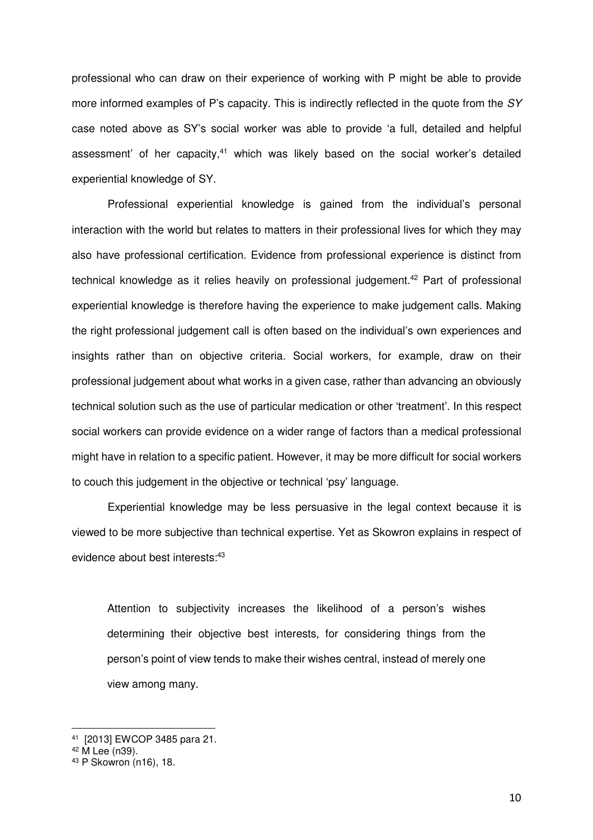professional who can draw on their experience of working with P might be able to provide more informed examples of P's capacity. This is indirectly reflected in the quote from the *SY* case noted above as SY's social worker was able to provide 'a full, detailed and helpful assessment' of her capacity, $41$  which was likely based on the social worker's detailed experiential knowledge of SY.

Professional experiential knowledge is gained from the individual's personal interaction with the world but relates to matters in their professional lives for which they may also have professional certification. Evidence from professional experience is distinct from technical knowledge as it relies heavily on professional judgement.<sup>42</sup> Part of professional experiential knowledge is therefore having the experience to make judgement calls. Making the right professional judgement call is often based on the individual's own experiences and insights rather than on objective criteria. Social workers, for example, draw on their professional judgement about what works in a given case, rather than advancing an obviously technical solution such as the use of particular medication or other 'treatment'. In this respect social workers can provide evidence on a wider range of factors than a medical professional might have in relation to a specific patient. However, it may be more difficult for social workers to couch this judgement in the objective or technical 'psy' language.

Experiential knowledge may be less persuasive in the legal context because it is viewed to be more subjective than technical expertise. Yet as Skowron explains in respect of evidence about best interests: 43

Attention to subjectivity increases the likelihood of a person's wishes determining their objective best interests, for considering things from the person's point of view tends to make their wishes central, instead of merely one view among many.

<sup>41</sup> [2013] EWCOP 3485 para 21.

 $42 \text{ M}$  Lee (n39).

<sup>43</sup> P Skowron (n16), 18.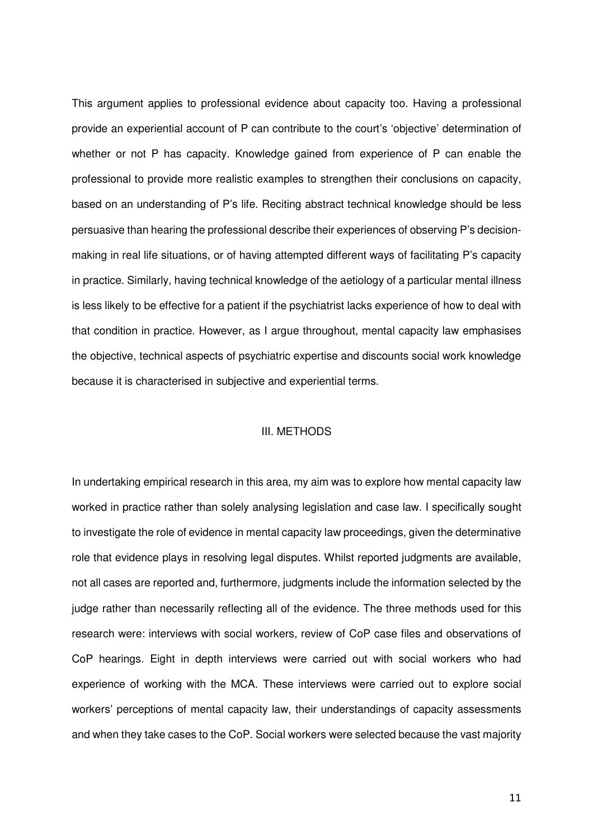This argument applies to professional evidence about capacity too. Having a professional provide an experiential account of P can contribute to the court's 'objective' determination of whether or not P has capacity. Knowledge gained from experience of P can enable the professional to provide more realistic examples to strengthen their conclusions on capacity, based on an understanding of P's life. Reciting abstract technical knowledge should be less persuasive than hearing the professional describe their experiences of observing P's decisionmaking in real life situations, or of having attempted different ways of facilitating P's capacity in practice. Similarly, having technical knowledge of the aetiology of a particular mental illness is less likely to be effective for a patient if the psychiatrist lacks experience of how to deal with that condition in practice. However, as I argue throughout, mental capacity law emphasises the objective, technical aspects of psychiatric expertise and discounts social work knowledge because it is characterised in subjective and experiential terms.

# III. METHODS

In undertaking empirical research in this area, my aim was to explore how mental capacity law worked in practice rather than solely analysing legislation and case law. I specifically sought to investigate the role of evidence in mental capacity law proceedings, given the determinative role that evidence plays in resolving legal disputes. Whilst reported judgments are available, not all cases are reported and, furthermore, judgments include the information selected by the judge rather than necessarily reflecting all of the evidence. The three methods used for this research were: interviews with social workers, review of CoP case files and observations of CoP hearings. Eight in depth interviews were carried out with social workers who had experience of working with the MCA. These interviews were carried out to explore social workers' perceptions of mental capacity law, their understandings of capacity assessments and when they take cases to the CoP. Social workers were selected because the vast majority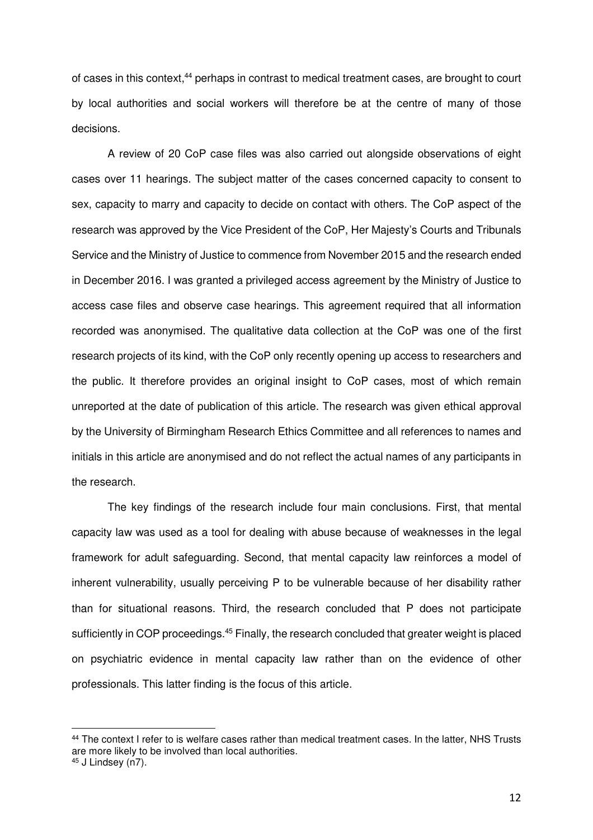of cases in this context,<sup>44</sup> perhaps in contrast to medical treatment cases, are brought to court by local authorities and social workers will therefore be at the centre of many of those decisions.

A review of 20 CoP case files was also carried out alongside observations of eight cases over 11 hearings. The subject matter of the cases concerned capacity to consent to sex, capacity to marry and capacity to decide on contact with others. The CoP aspect of the research was approved by the Vice President of the CoP, Her Majesty's Courts and Tribunals Service and the Ministry of Justice to commence from November 2015 and the research ended in December 2016. I was granted a privileged access agreement by the Ministry of Justice to access case files and observe case hearings. This agreement required that all information recorded was anonymised. The qualitative data collection at the CoP was one of the first research projects of its kind, with the CoP only recently opening up access to researchers and the public. It therefore provides an original insight to CoP cases, most of which remain unreported at the date of publication of this article. The research was given ethical approval by the University of Birmingham Research Ethics Committee and all references to names and initials in this article are anonymised and do not reflect the actual names of any participants in the research.

The key findings of the research include four main conclusions. First, that mental capacity law was used as a tool for dealing with abuse because of weaknesses in the legal framework for adult safeguarding. Second, that mental capacity law reinforces a model of inherent vulnerability, usually perceiving P to be vulnerable because of her disability rather than for situational reasons. Third, the research concluded that P does not participate sufficiently in COP proceedings.<sup>45</sup> Finally, the research concluded that greater weight is placed on psychiatric evidence in mental capacity law rather than on the evidence of other professionals. This latter finding is the focus of this article.

<sup>44</sup> The context I refer to is welfare cases rather than medical treatment cases. In the latter, NHS Trusts are more likely to be involved than local authorities.

 $45$  J Lindsey (n7).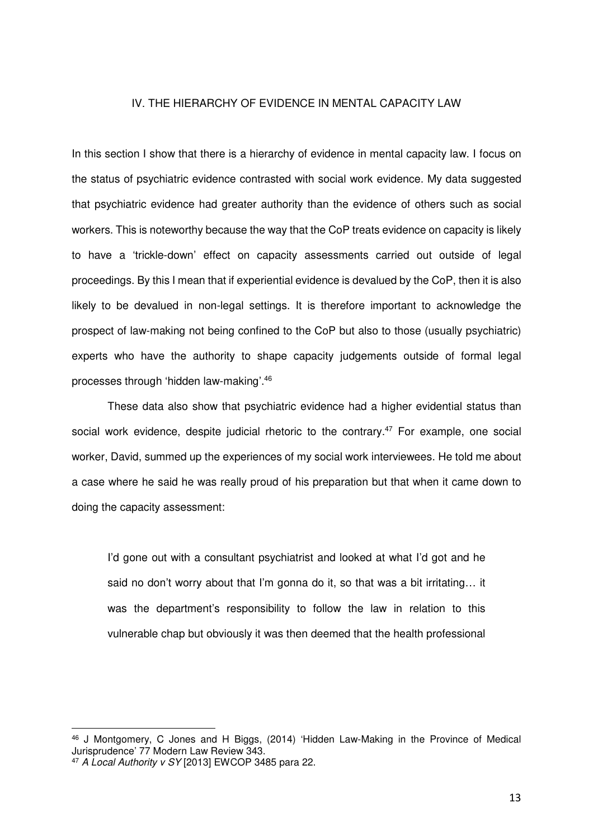### IV. THE HIERARCHY OF EVIDENCE IN MENTAL CAPACITY LAW

In this section I show that there is a hierarchy of evidence in mental capacity law. I focus on the status of psychiatric evidence contrasted with social work evidence. My data suggested that psychiatric evidence had greater authority than the evidence of others such as social workers. This is noteworthy because the way that the CoP treats evidence on capacity is likely to have a 'trickle-down' effect on capacity assessments carried out outside of legal proceedings. By this I mean that if experiential evidence is devalued by the CoP, then it is also likely to be devalued in non-legal settings. It is therefore important to acknowledge the prospect of law-making not being confined to the CoP but also to those (usually psychiatric) experts who have the authority to shape capacity judgements outside of formal legal processes through 'hidden law-making'.<sup>46</sup>

These data also show that psychiatric evidence had a higher evidential status than social work evidence, despite judicial rhetoric to the contrary.<sup>47</sup> For example, one social worker, David, summed up the experiences of my social work interviewees. He told me about a case where he said he was really proud of his preparation but that when it came down to doing the capacity assessment:

I'd gone out with a consultant psychiatrist and looked at what I'd got and he said no don't worry about that I'm gonna do it, so that was a bit irritating… it was the department's responsibility to follow the law in relation to this vulnerable chap but obviously it was then deemed that the health professional

<sup>46</sup> J Montgomery, C Jones and H Biggs, (2014) 'Hidden Law-Making in the Province of Medical Jurisprudence' 77 Modern Law Review 343.

<sup>47</sup> *A Local Authority v SY* [2013] EWCOP 3485 para 22.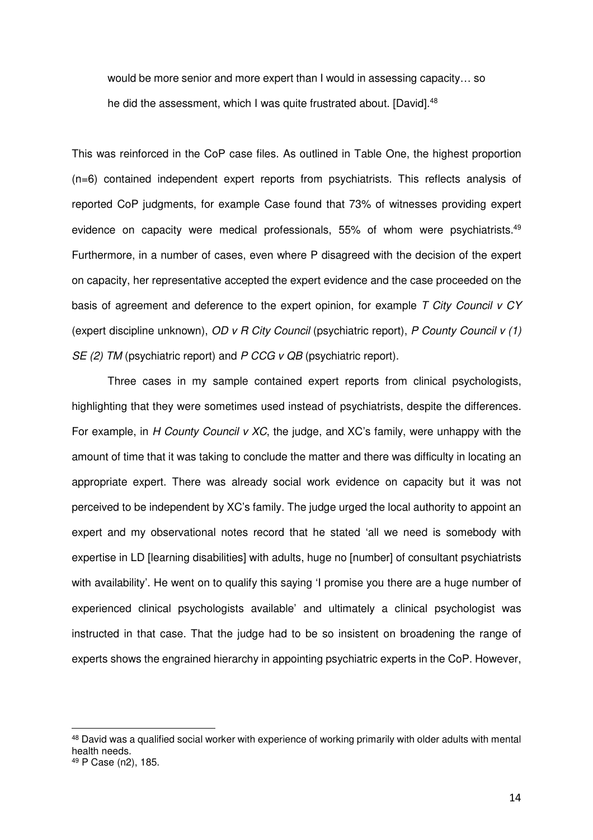would be more senior and more expert than I would in assessing capacity… so he did the assessment, which I was quite frustrated about. [David].<sup>48</sup>

This was reinforced in the CoP case files. As outlined in Table One, the highest proportion (n=6) contained independent expert reports from psychiatrists. This reflects analysis of reported CoP judgments, for example Case found that 73% of witnesses providing expert evidence on capacity were medical professionals, 55% of whom were psychiatrists.<sup>49</sup> Furthermore, in a number of cases, even where P disagreed with the decision of the expert on capacity, her representative accepted the expert evidence and the case proceeded on the basis of agreement and deference to the expert opinion, for example *T City Council v CY*  (expert discipline unknown), *OD v R City Council* (psychiatric report), *P County Council v (1) SE (2) TM* (psychiatric report) and *P CCG v QB* (psychiatric report).

Three cases in my sample contained expert reports from clinical psychologists, highlighting that they were sometimes used instead of psychiatrists, despite the differences. For example, in *H County Council v XC*, the judge, and XC's family, were unhappy with the amount of time that it was taking to conclude the matter and there was difficulty in locating an appropriate expert. There was already social work evidence on capacity but it was not perceived to be independent by XC's family. The judge urged the local authority to appoint an expert and my observational notes record that he stated 'all we need is somebody with expertise in LD [learning disabilities] with adults, huge no [number] of consultant psychiatrists with availability'. He went on to qualify this saying 'I promise you there are a huge number of experienced clinical psychologists available' and ultimately a clinical psychologist was instructed in that case. That the judge had to be so insistent on broadening the range of experts shows the engrained hierarchy in appointing psychiatric experts in the CoP. However,

<sup>48</sup> David was a qualified social worker with experience of working primarily with older adults with mental health needs. 49 P Case (n2), 185.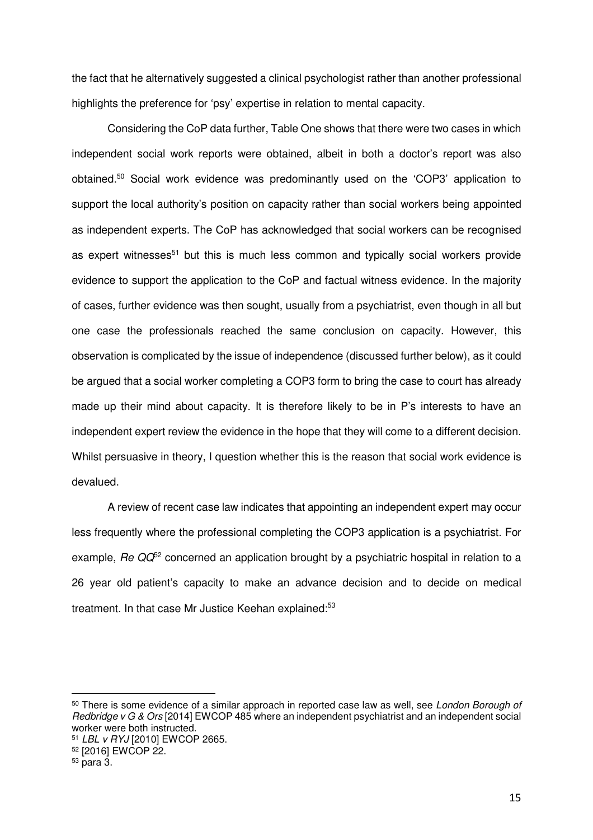the fact that he alternatively suggested a clinical psychologist rather than another professional highlights the preference for 'psy' expertise in relation to mental capacity.

Considering the CoP data further, Table One shows that there were two cases in which independent social work reports were obtained, albeit in both a doctor's report was also obtained.<sup>50</sup> Social work evidence was predominantly used on the 'COP3' application to support the local authority's position on capacity rather than social workers being appointed as independent experts. The CoP has acknowledged that social workers can be recognised as expert witnesses<sup>51</sup> but this is much less common and typically social workers provide evidence to support the application to the CoP and factual witness evidence. In the majority of cases, further evidence was then sought, usually from a psychiatrist, even though in all but one case the professionals reached the same conclusion on capacity. However, this observation is complicated by the issue of independence (discussed further below), as it could be argued that a social worker completing a COP3 form to bring the case to court has already made up their mind about capacity. It is therefore likely to be in P's interests to have an independent expert review the evidence in the hope that they will come to a different decision. Whilst persuasive in theory, I question whether this is the reason that social work evidence is devalued.

A review of recent case law indicates that appointing an independent expert may occur less frequently where the professional completing the COP3 application is a psychiatrist. For example, *Re QQ*<sup>52</sup> concerned an application brought by a psychiatric hospital in relation to a 26 year old patient's capacity to make an advance decision and to decide on medical treatment. In that case Mr Justice Keehan explained:<sup>53</sup>

<sup>50</sup> There is some evidence of a similar approach in reported case law as well, see *London Borough of Redbridge v G & Ors* [2014] EWCOP 485 where an independent psychiatrist and an independent social worker were both instructed.

<sup>51</sup> *LBL v RYJ* [2010] EWCOP 2665.

<sup>52</sup> [2016] EWCOP 22.

 $53$  para 3.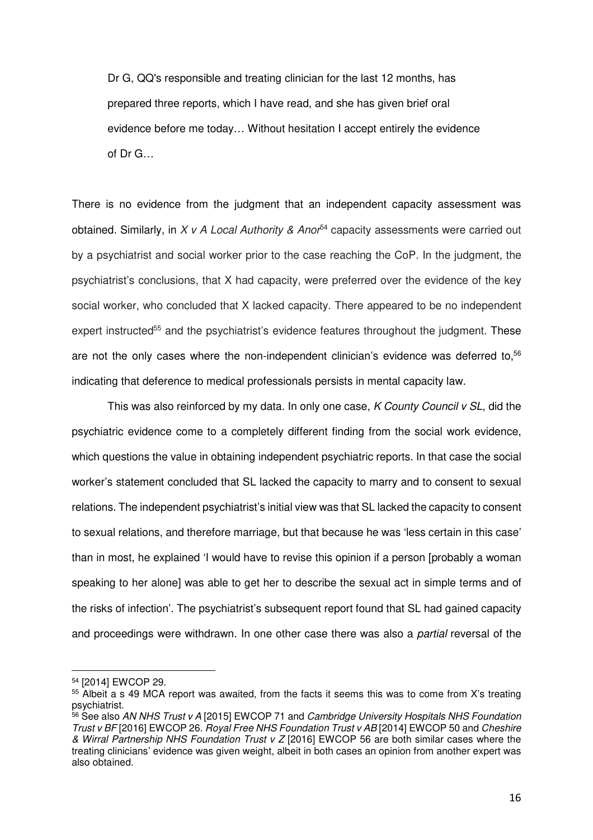Dr G, QQ's responsible and treating clinician for the last 12 months, has prepared three reports, which I have read, and she has given brief oral evidence before me today… Without hesitation I accept entirely the evidence of Dr G…

There is no evidence from the judgment that an independent capacity assessment was obtained. Similarly, in *X v A Local Authority & Anor*<sup>54</sup> capacity assessments were carried out by a psychiatrist and social worker prior to the case reaching the CoP. In the judgment, the psychiatrist's conclusions, that X had capacity, were preferred over the evidence of the key social worker, who concluded that X lacked capacity. There appeared to be no independent expert instructed<sup>55</sup> and the psychiatrist's evidence features throughout the judgment. These are not the only cases where the non-independent clinician's evidence was deferred to.<sup>56</sup> indicating that deference to medical professionals persists in mental capacity law.

This was also reinforced by my data. In only one case, *K County Council v SL*, did the psychiatric evidence come to a completely different finding from the social work evidence, which questions the value in obtaining independent psychiatric reports. In that case the social worker's statement concluded that SL lacked the capacity to marry and to consent to sexual relations. The independent psychiatrist's initial view was that SL lacked the capacity to consent to sexual relations, and therefore marriage, but that because he was 'less certain in this case' than in most, he explained 'I would have to revise this opinion if a person [probably a woman speaking to her alone] was able to get her to describe the sexual act in simple terms and of the risks of infection'. The psychiatrist's subsequent report found that SL had gained capacity and proceedings were withdrawn. In one other case there was also a *partial* reversal of the

<sup>54</sup> [2014] EWCOP 29.

<sup>&</sup>lt;sup>55</sup> Albeit a s 49 MCA report was awaited, from the facts it seems this was to come from X's treating psychiatrist.

<sup>56</sup> See also *AN NHS Trust v A* [2015] EWCOP 71 and *Cambridge University Hospitals NHS Foundation Trust v BF* [2016] EWCOP 26. *Royal Free NHS Foundation Trust v AB* [2014] EWCOP 50 and *Cheshire & Wirral Partnership NHS Foundation Trust v Z* [2016] EWCOP 56 are both similar cases where the treating clinicians' evidence was given weight, albeit in both cases an opinion from another expert was also obtained.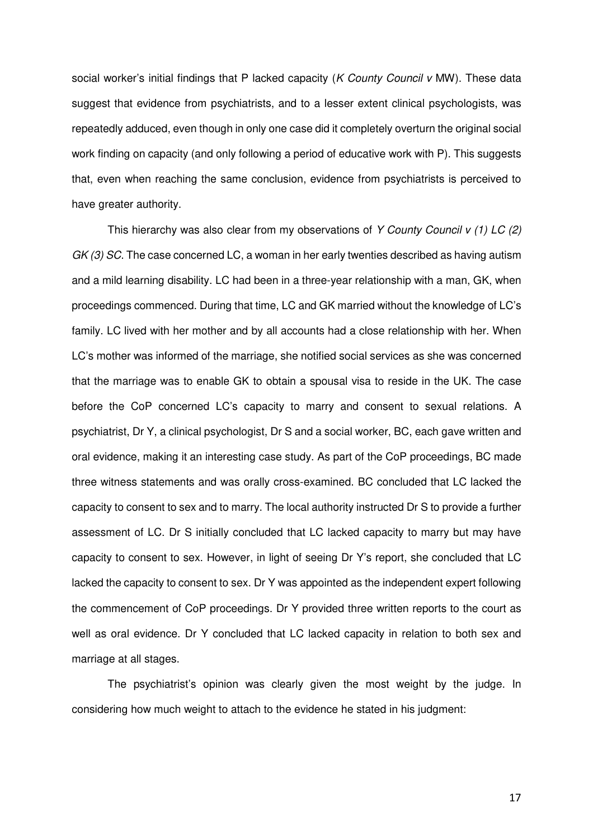social worker's initial findings that P lacked capacity (*K County Council v* MW). These data suggest that evidence from psychiatrists, and to a lesser extent clinical psychologists, was repeatedly adduced, even though in only one case did it completely overturn the original social work finding on capacity (and only following a period of educative work with P). This suggests that, even when reaching the same conclusion, evidence from psychiatrists is perceived to have greater authority.

This hierarchy was also clear from my observations of *Y County Council v (1) LC (2) GK (3) SC*. The case concerned LC, a woman in her early twenties described as having autism and a mild learning disability. LC had been in a three-year relationship with a man, GK, when proceedings commenced. During that time, LC and GK married without the knowledge of LC's family. LC lived with her mother and by all accounts had a close relationship with her. When LC's mother was informed of the marriage, she notified social services as she was concerned that the marriage was to enable GK to obtain a spousal visa to reside in the UK. The case before the CoP concerned LC's capacity to marry and consent to sexual relations. A psychiatrist, Dr Y, a clinical psychologist, Dr S and a social worker, BC, each gave written and oral evidence, making it an interesting case study. As part of the CoP proceedings, BC made three witness statements and was orally cross-examined. BC concluded that LC lacked the capacity to consent to sex and to marry. The local authority instructed Dr S to provide a further assessment of LC. Dr S initially concluded that LC lacked capacity to marry but may have capacity to consent to sex. However, in light of seeing Dr Y's report, she concluded that LC lacked the capacity to consent to sex. Dr Y was appointed as the independent expert following the commencement of CoP proceedings. Dr Y provided three written reports to the court as well as oral evidence. Dr Y concluded that LC lacked capacity in relation to both sex and marriage at all stages.

The psychiatrist's opinion was clearly given the most weight by the judge. In considering how much weight to attach to the evidence he stated in his judgment:

17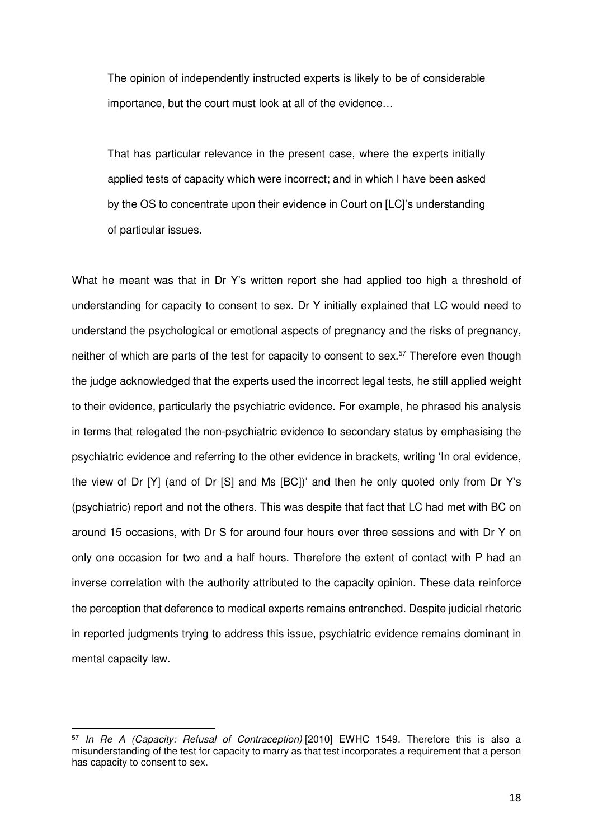The opinion of independently instructed experts is likely to be of considerable importance, but the court must look at all of the evidence…

That has particular relevance in the present case, where the experts initially applied tests of capacity which were incorrect; and in which I have been asked by the OS to concentrate upon their evidence in Court on [LC]'s understanding of particular issues.

What he meant was that in Dr Y's written report she had applied too high a threshold of understanding for capacity to consent to sex. Dr Y initially explained that LC would need to understand the psychological or emotional aspects of pregnancy and the risks of pregnancy, neither of which are parts of the test for capacity to consent to sex.<sup>57</sup> Therefore even though the judge acknowledged that the experts used the incorrect legal tests, he still applied weight to their evidence, particularly the psychiatric evidence. For example, he phrased his analysis in terms that relegated the non-psychiatric evidence to secondary status by emphasising the psychiatric evidence and referring to the other evidence in brackets, writing 'In oral evidence, the view of Dr [Y] (and of Dr [S] and Ms [BC])' and then he only quoted only from Dr Y's (psychiatric) report and not the others. This was despite that fact that LC had met with BC on around 15 occasions, with Dr S for around four hours over three sessions and with Dr Y on only one occasion for two and a half hours. Therefore the extent of contact with P had an inverse correlation with the authority attributed to the capacity opinion. These data reinforce the perception that deference to medical experts remains entrenched. Despite judicial rhetoric in reported judgments trying to address this issue, psychiatric evidence remains dominant in mental capacity law.

<sup>57</sup> *In Re A (Capacity: Refusal of Contraception)* [2010] EWHC 1549. Therefore this is also a misunderstanding of the test for capacity to marry as that test incorporates a requirement that a person has capacity to consent to sex.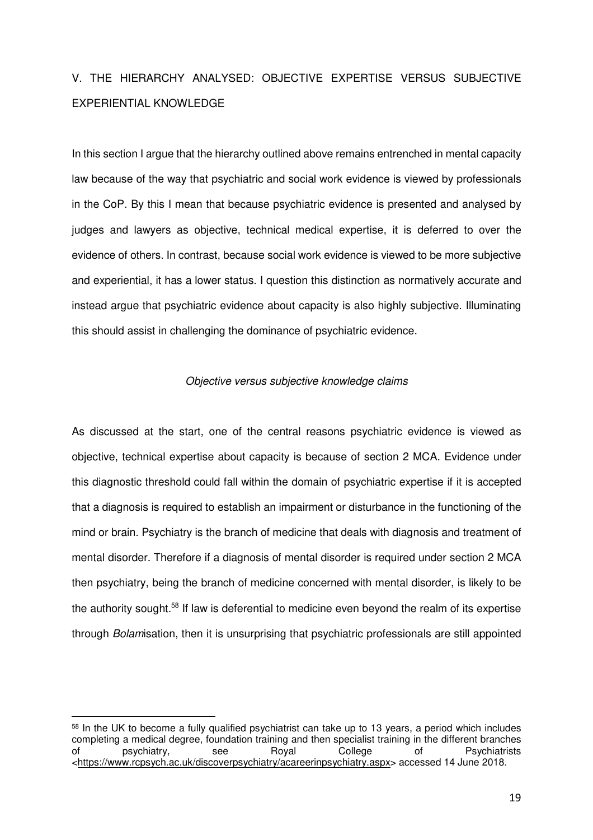# V. THE HIERARCHY ANALYSED: OBJECTIVE EXPERTISE VERSUS SUBJECTIVE EXPERIENTIAL KNOWLEDGE

In this section I argue that the hierarchy outlined above remains entrenched in mental capacity law because of the way that psychiatric and social work evidence is viewed by professionals in the CoP. By this I mean that because psychiatric evidence is presented and analysed by judges and lawyers as objective, technical medical expertise, it is deferred to over the evidence of others. In contrast, because social work evidence is viewed to be more subjective and experiential, it has a lower status. I question this distinction as normatively accurate and instead argue that psychiatric evidence about capacity is also highly subjective. Illuminating this should assist in challenging the dominance of psychiatric evidence.

## *Objective versus subjective knowledge claims*

As discussed at the start, one of the central reasons psychiatric evidence is viewed as objective, technical expertise about capacity is because of section 2 MCA. Evidence under this diagnostic threshold could fall within the domain of psychiatric expertise if it is accepted that a diagnosis is required to establish an impairment or disturbance in the functioning of the mind or brain. Psychiatry is the branch of medicine that deals with diagnosis and treatment of mental disorder. Therefore if a diagnosis of mental disorder is required under section 2 MCA then psychiatry, being the branch of medicine concerned with mental disorder, is likely to be the authority sought.<sup>58</sup> If law is deferential to medicine even beyond the realm of its expertise through *Bolam*isation, then it is unsurprising that psychiatric professionals are still appointed

<sup>58</sup> In the UK to become a fully qualified psychiatrist can take up to 13 years, a period which includes completing a medical degree, foundation training and then specialist training in the different branches of psychiatry, see Royal College of Psychiatrists <https://www.rcpsych.ac.uk/discoverpsychiatry/acareerinpsychiatry.aspx> accessed 14 June 2018.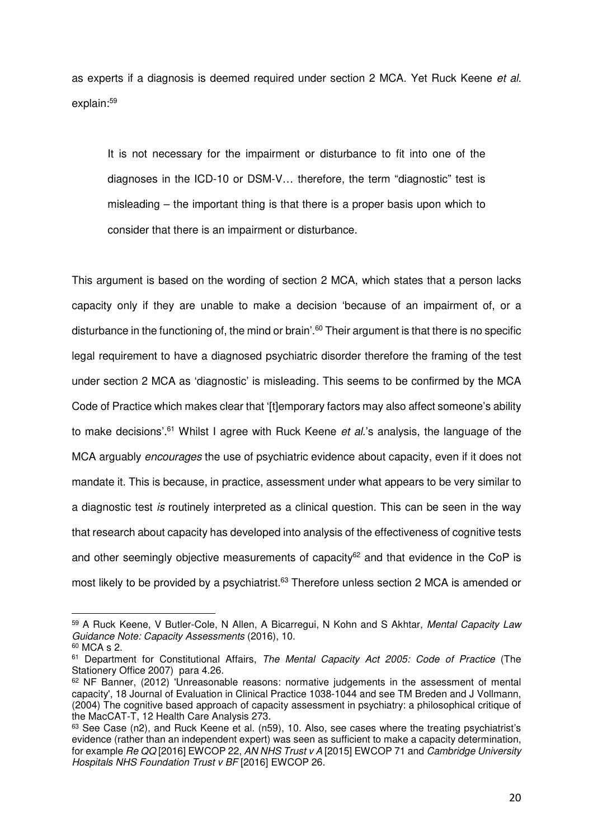as experts if a diagnosis is deemed required under section 2 MCA. Yet Ruck Keene *et al*. explain:<sup>59</sup>

It is not necessary for the impairment or disturbance to fit into one of the diagnoses in the ICD-10 or DSM-V… therefore, the term "diagnostic" test is misleading – the important thing is that there is a proper basis upon which to consider that there is an impairment or disturbance.

This argument is based on the wording of section 2 MCA, which states that a person lacks capacity only if they are unable to make a decision 'because of an impairment of, or a disturbance in the functioning of, the mind or brain'.<sup>60</sup> Their argument is that there is no specific legal requirement to have a diagnosed psychiatric disorder therefore the framing of the test under section 2 MCA as 'diagnostic' is misleading. This seems to be confirmed by the MCA Code of Practice which makes clear that '[t]emporary factors may also affect someone's ability to make decisions'.<sup>61</sup> Whilst I agree with Ruck Keene *et al.*'s analysis, the language of the MCA arguably *encourages* the use of psychiatric evidence about capacity, even if it does not mandate it. This is because, in practice, assessment under what appears to be very similar to a diagnostic test *is* routinely interpreted as a clinical question. This can be seen in the way that research about capacity has developed into analysis of the effectiveness of cognitive tests and other seemingly objective measurements of capacity<sup>62</sup> and that evidence in the CoP is most likely to be provided by a psychiatrist.<sup>63</sup> Therefore unless section 2 MCA is amended or

<sup>59</sup> A Ruck Keene, V Butler-Cole, N Allen, A Bicarregui, N Kohn and S Akhtar, *Mental Capacity Law Guidance Note: Capacity Assessments* (2016), 10.

 $60$  MCA s 2.

<sup>61</sup> Department for Constitutional Affairs, *The Mental Capacity Act 2005: Code of Practice* (The Stationery Office 2007) para 4.26.

 $62$  NF Banner, (2012) Unreasonable reasons: normative judgements in the assessment of mental capacity', 18 Journal of Evaluation in Clinical Practice 1038-1044 and see TM Breden and J Vollmann, (2004) The cognitive based approach of capacity assessment in psychiatry: a philosophical critique of the MacCAT-T, 12 Health Care Analysis 273.

<sup>&</sup>lt;sup>63</sup> See Case (n2), and Ruck Keene et al. (n59), 10. Also, see cases where the treating psychiatrist's evidence (rather than an independent expert) was seen as sufficient to make a capacity determination, for example *Re QQ* [2016] EWCOP 22, *AN NHS Trust v A* [2015] EWCOP 71 and *Cambridge University Hospitals NHS Foundation Trust v BF* [2016] EWCOP 26.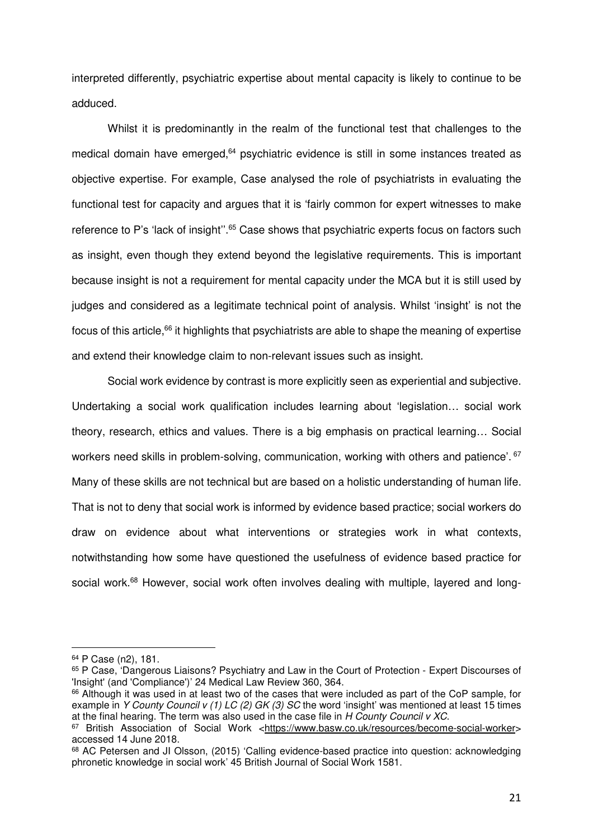interpreted differently, psychiatric expertise about mental capacity is likely to continue to be adduced.

Whilst it is predominantly in the realm of the functional test that challenges to the medical domain have emerged,<sup>64</sup> psychiatric evidence is still in some instances treated as objective expertise. For example, Case analysed the role of psychiatrists in evaluating the functional test for capacity and argues that it is 'fairly common for expert witnesses to make reference to P's 'lack of insight".<sup>65</sup> Case shows that psychiatric experts focus on factors such as insight, even though they extend beyond the legislative requirements. This is important because insight is not a requirement for mental capacity under the MCA but it is still used by judges and considered as a legitimate technical point of analysis. Whilst 'insight' is not the focus of this article,<sup>66</sup> it highlights that psychiatrists are able to shape the meaning of expertise and extend their knowledge claim to non-relevant issues such as insight.

Social work evidence by contrast is more explicitly seen as experiential and subjective. Undertaking a social work qualification includes learning about 'legislation… social work theory, research, ethics and values. There is a big emphasis on practical learning… Social workers need skills in problem-solving, communication, working with others and patience'. <sup>67</sup> Many of these skills are not technical but are based on a holistic understanding of human life. That is not to deny that social work is informed by evidence based practice; social workers do draw on evidence about what interventions or strategies work in what contexts, notwithstanding how some have questioned the usefulness of evidence based practice for social work.<sup>68</sup> However, social work often involves dealing with multiple, layered and long-

<sup>64</sup> P Case (n2), 181.

<sup>65</sup> P Case, 'Dangerous Liaisons? Psychiatry and Law in the Court of Protection - Expert Discourses of 'Insight' (and 'Compliance')' 24 Medical Law Review 360, 364.

 $66$  Although it was used in at least two of the cases that were included as part of the CoP sample, for example in *Y County Council v (1) LC (2) GK (3) SC* the word 'insight' was mentioned at least 15 times at the final hearing. The term was also used in the case file in *H County Council v XC*.

<sup>67</sup> British Association of Social Work <https://www.basw.co.uk/resources/become-social-worker> accessed 14 June 2018.

<sup>68</sup> AC Petersen and JI Olsson, (2015) 'Calling evidence-based practice into question: acknowledging phronetic knowledge in social work' 45 British Journal of Social Work 1581.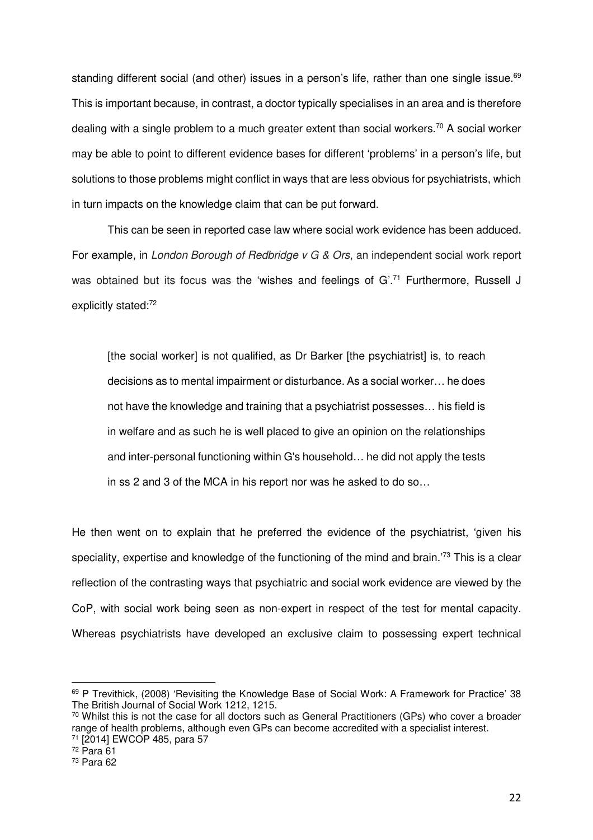standing different social (and other) issues in a person's life, rather than one single issue.<sup>69</sup> This is important because, in contrast, a doctor typically specialises in an area and is therefore dealing with a single problem to a much greater extent than social workers.<sup>70</sup> A social worker may be able to point to different evidence bases for different 'problems' in a person's life, but solutions to those problems might conflict in ways that are less obvious for psychiatrists, which in turn impacts on the knowledge claim that can be put forward.

This can be seen in reported case law where social work evidence has been adduced. For example, in *London Borough of Redbridge v G & Ors*, an independent social work report was obtained but its focus was the 'wishes and feelings of G'.<sup>71</sup> Furthermore, Russell J explicitly stated:<sup>72</sup>

[the social worker] is not qualified, as Dr Barker [the psychiatrist] is, to reach decisions as to mental impairment or disturbance. As a social worker… he does not have the knowledge and training that a psychiatrist possesses… his field is in welfare and as such he is well placed to give an opinion on the relationships and inter-personal functioning within G's household… he did not apply the tests in ss 2 and 3 of the MCA in his report nor was he asked to do so…

He then went on to explain that he preferred the evidence of the psychiatrist, 'given his speciality, expertise and knowledge of the functioning of the mind and brain.<sup>73</sup> This is a clear reflection of the contrasting ways that psychiatric and social work evidence are viewed by the CoP, with social work being seen as non-expert in respect of the test for mental capacity. Whereas psychiatrists have developed an exclusive claim to possessing expert technical

<sup>69</sup> P Trevithick, (2008) 'Revisiting the Knowledge Base of Social Work: A Framework for Practice' 38 The British Journal of Social Work 1212, 1215.

 $70$  Whilst this is not the case for all doctors such as General Practitioners (GPs) who cover a broader range of health problems, although even GPs can become accredited with a specialist interest. <sup>71</sup> [2014] EWCOP 485, para 57

<sup>72</sup> Para 61

<sup>73</sup> Para 62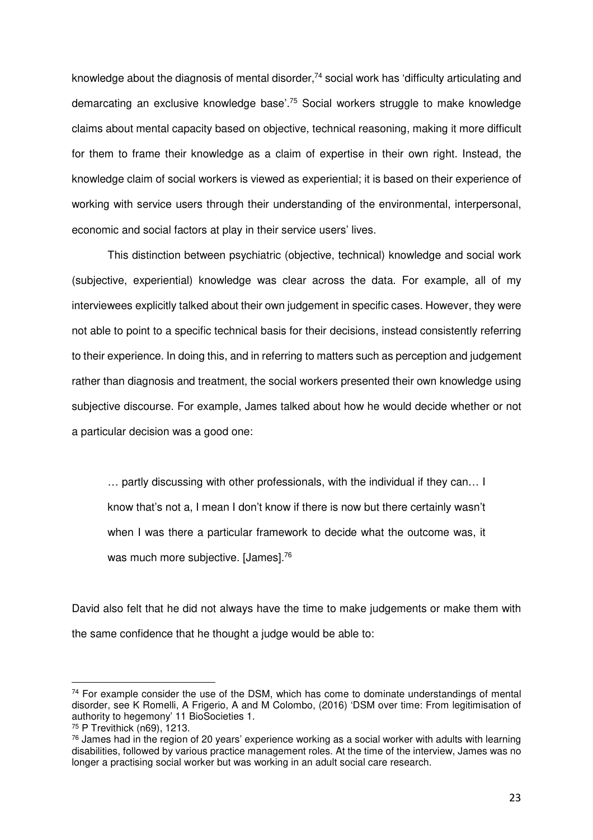knowledge about the diagnosis of mental disorder, $74$  social work has 'difficulty articulating and demarcating an exclusive knowledge base'.<sup>75</sup> Social workers struggle to make knowledge claims about mental capacity based on objective, technical reasoning, making it more difficult for them to frame their knowledge as a claim of expertise in their own right. Instead, the knowledge claim of social workers is viewed as experiential; it is based on their experience of working with service users through their understanding of the environmental, interpersonal, economic and social factors at play in their service users' lives.

This distinction between psychiatric (objective, technical) knowledge and social work (subjective, experiential) knowledge was clear across the data. For example, all of my interviewees explicitly talked about their own judgement in specific cases. However, they were not able to point to a specific technical basis for their decisions, instead consistently referring to their experience. In doing this, and in referring to matters such as perception and judgement rather than diagnosis and treatment, the social workers presented their own knowledge using subjective discourse. For example, James talked about how he would decide whether or not a particular decision was a good one:

… partly discussing with other professionals, with the individual if they can… I know that's not a, I mean I don't know if there is now but there certainly wasn't when I was there a particular framework to decide what the outcome was, it was much more subjective. [James].<sup>76</sup>

David also felt that he did not always have the time to make judgements or make them with the same confidence that he thought a judge would be able to:

 $74$  For example consider the use of the DSM, which has come to dominate understandings of mental disorder, see K Romelli, A Frigerio, A and M Colombo, (2016) 'DSM over time: From legitimisation of authority to hegemony' 11 BioSocieties 1.

<sup>75</sup> P Trevithick (n69), 1213.

 $76$  James had in the region of 20 years' experience working as a social worker with adults with learning disabilities, followed by various practice management roles. At the time of the interview, James was no longer a practising social worker but was working in an adult social care research.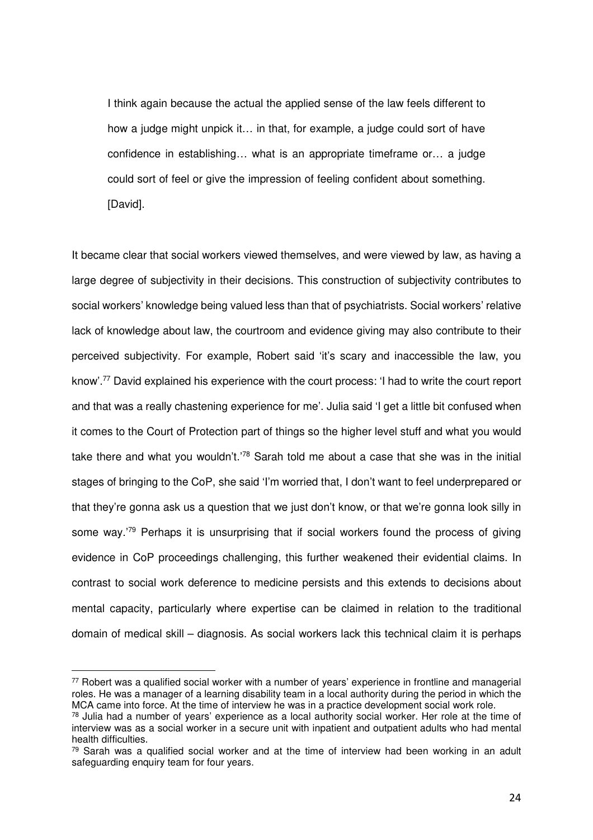I think again because the actual the applied sense of the law feels different to how a judge might unpick it... in that, for example, a judge could sort of have confidence in establishing… what is an appropriate timeframe or… a judge could sort of feel or give the impression of feeling confident about something. [David].

It became clear that social workers viewed themselves, and were viewed by law, as having a large degree of subjectivity in their decisions. This construction of subjectivity contributes to social workers' knowledge being valued less than that of psychiatrists. Social workers' relative lack of knowledge about law, the courtroom and evidence giving may also contribute to their perceived subjectivity. For example, Robert said 'it's scary and inaccessible the law, you know'.<sup>77</sup> David explained his experience with the court process: 'I had to write the court report and that was a really chastening experience for me'. Julia said 'I get a little bit confused when it comes to the Court of Protection part of things so the higher level stuff and what you would take there and what you wouldn't.<sup>'78</sup> Sarah told me about a case that she was in the initial stages of bringing to the CoP, she said 'I'm worried that, I don't want to feel underprepared or that they're gonna ask us a question that we just don't know, or that we're gonna look silly in some way.'<sup>79</sup> Perhaps it is unsurprising that if social workers found the process of giving evidence in CoP proceedings challenging, this further weakened their evidential claims. In contrast to social work deference to medicine persists and this extends to decisions about mental capacity, particularly where expertise can be claimed in relation to the traditional domain of medical skill – diagnosis. As social workers lack this technical claim it is perhaps

<sup>77</sup> Robert was a qualified social worker with a number of years' experience in frontline and managerial roles. He was a manager of a learning disability team in a local authority during the period in which the MCA came into force. At the time of interview he was in a practice development social work role.

<sup>78</sup> Julia had a number of years' experience as a local authority social worker. Her role at the time of interview was as a social worker in a secure unit with inpatient and outpatient adults who had mental health difficulties.

 $79$  Sarah was a qualified social worker and at the time of interview had been working in an adult safeguarding enquiry team for four years.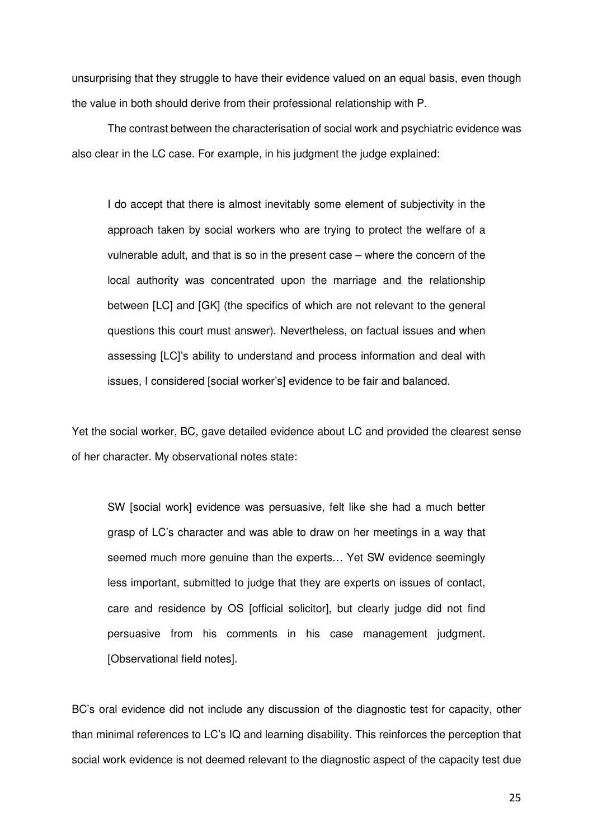unsurprising that they struggle to have their evidence valued on an equal basis, even though the value in both should derive from their professional relationship with P.

The contrast between the characterisation of social work and psychiatric evidence was also clear in the LC case. For example, in his judgment the judge explained:

I do accept that there is almost inevitably some element of subjectivity in the approach taken by social workers who are trying to protect the welfare of a vulnerable adult, and that is so in the present case – where the concern of the local authority was concentrated upon the marriage and the relationship between [LC] and [GK] (the specifics of which are not relevant to the general questions this court must answer). Nevertheless, on factual issues and when assessing [LC]'s ability to understand and process information and deal with issues, I considered [social worker's] evidence to be fair and balanced.

Yet the social worker, BC, gave detailed evidence about LC and provided the clearest sense of her character. My observational notes state:

SW [social work] evidence was persuasive, felt like she had a much better grasp of LC's character and was able to draw on her meetings in a way that seemed much more genuine than the experts… Yet SW evidence seemingly less important, submitted to judge that they are experts on issues of contact, care and residence by OS [official solicitor], but clearly judge did not find persuasive from his comments in his case management judgment. [Observational field notes].

BC's oral evidence did not include any discussion of the diagnostic test for capacity, other than minimal references to LC's IQ and learning disability. This reinforces the perception that social work evidence is not deemed relevant to the diagnostic aspect of the capacity test due

25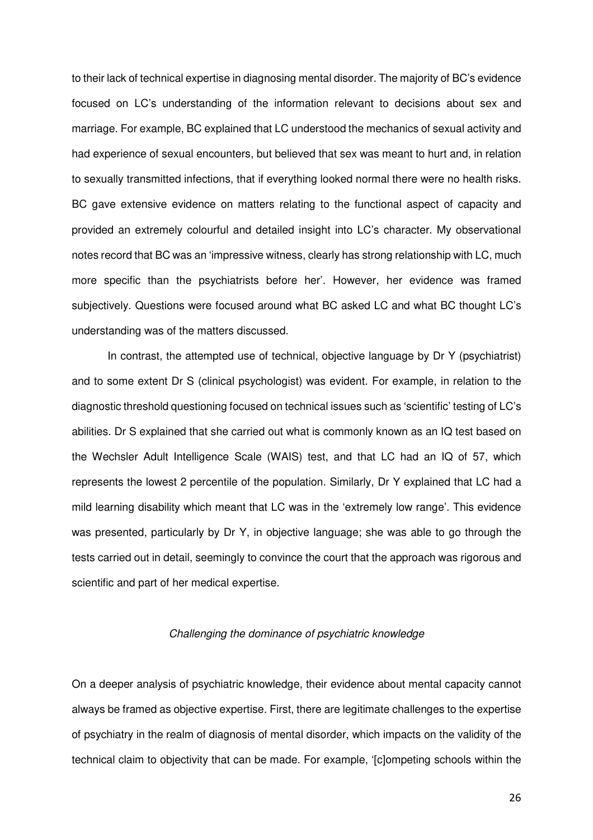to their lack of technical expertise in diagnosing mental disorder. The majority of BC's evidence focused on LC's understanding of the information relevant to decisions about sex and marriage. For example, BC explained that LC understood the mechanics of sexual activity and had experience of sexual encounters, but believed that sex was meant to hurt and, in relation to sexually transmitted infections, that if everything looked normal there were no health risks. BC gave extensive evidence on matters relating to the functional aspect of capacity and provided an extremely colourful and detailed insight into LC's character. My observational notes record that BC was an 'impressive witness, clearly has strong relationship with LC, much more specific than the psychiatrists before her'. However, her evidence was framed subjectively. Questions were focused around what BC asked LC and what BC thought LC's understanding was of the matters discussed.

In contrast, the attempted use of technical, objective language by Dr Y (psychiatrist) and to some extent Dr S (clinical psychologist) was evident. For example, in relation to the diagnostic threshold questioning focused on technical issues such as 'scientific' testing of LC's abilities. Dr S explained that she carried out what is commonly known as an IQ test based on the Wechsler Adult Intelligence Scale (WAIS) test, and that LC had an IQ of 57, which represents the lowest 2 percentile of the population. Similarly, Dr Y explained that LC had a mild learning disability which meant that LC was in the 'extremely low range'. This evidence was presented, particularly by Dr Y, in objective language; she was able to go through the tests carried out in detail, seemingly to convince the court that the approach was rigorous and scientific and part of her medical expertise.

### *Challenging the dominance of psychiatric knowledge*

On a deeper analysis of psychiatric knowledge, their evidence about mental capacity cannot always be framed as objective expertise. First, there are legitimate challenges to the expertise of psychiatry in the realm of diagnosis of mental disorder, which impacts on the validity of the technical claim to objectivity that can be made. For example, '[c]ompeting schools within the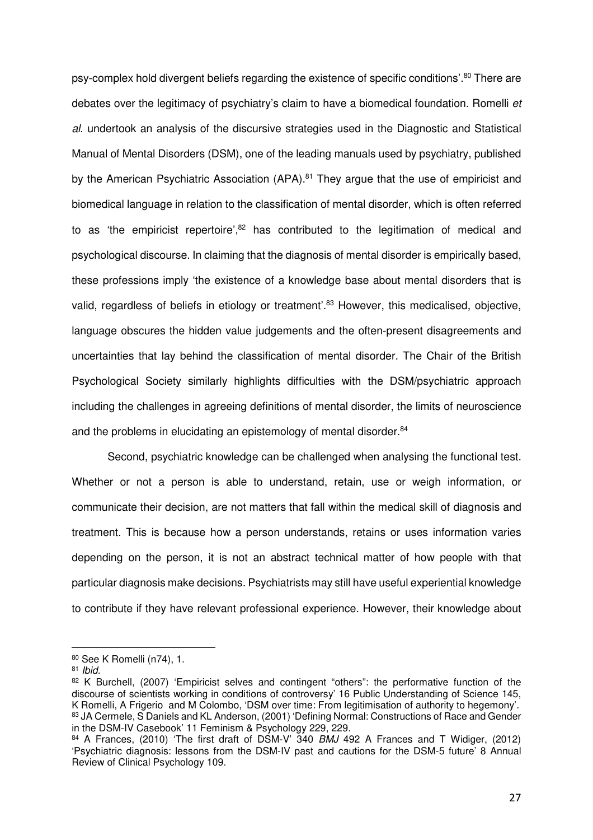psy-complex hold divergent beliefs regarding the existence of specific conditions'.<sup>80</sup> There are debates over the legitimacy of psychiatry's claim to have a biomedical foundation. Romelli *et al*. undertook an analysis of the discursive strategies used in the Diagnostic and Statistical Manual of Mental Disorders (DSM), one of the leading manuals used by psychiatry, published by the American Psychiatric Association (APA).<sup>81</sup> They argue that the use of empiricist and biomedical language in relation to the classification of mental disorder, which is often referred to as 'the empiricist repertoire',<sup>82</sup> has contributed to the legitimation of medical and psychological discourse. In claiming that the diagnosis of mental disorder is empirically based, these professions imply 'the existence of a knowledge base about mental disorders that is valid, regardless of beliefs in etiology or treatment<sup>'83</sup> However, this medicalised, objective, language obscures the hidden value judgements and the often-present disagreements and uncertainties that lay behind the classification of mental disorder. The Chair of the British Psychological Society similarly highlights difficulties with the DSM/psychiatric approach including the challenges in agreeing definitions of mental disorder, the limits of neuroscience and the problems in elucidating an epistemology of mental disorder.<sup>84</sup>

Second, psychiatric knowledge can be challenged when analysing the functional test. Whether or not a person is able to understand, retain, use or weigh information, or communicate their decision, are not matters that fall within the medical skill of diagnosis and treatment. This is because how a person understands, retains or uses information varies depending on the person, it is not an abstract technical matter of how people with that particular diagnosis make decisions. Psychiatrists may still have useful experiential knowledge to contribute if they have relevant professional experience. However, their knowledge about

 $\overline{a}$ 

in the DSM-IV Casebook' 11 Feminism & Psychology 229, 229.

<sup>80</sup> See K Romelli (n74), 1.

<sup>81</sup> *Ibid.*

<sup>82</sup> K Burchell, (2007) 'Empiricist selves and contingent "others": the performative function of the discourse of scientists working in conditions of controversy' 16 Public Understanding of Science 145, K Romelli, A Frigerio and M Colombo, 'DSM over time: From legitimisation of authority to hegemony'. <sup>83</sup> JA Cermele, S Daniels and KL Anderson, (2001) 'Defining Normal: Constructions of Race and Gender

<sup>84</sup> A Frances, (2010) 'The first draft of DSM-V' 340 *BMJ* 492 A Frances and T Widiger, (2012) 'Psychiatric diagnosis: lessons from the DSM-IV past and cautions for the DSM-5 future' 8 Annual Review of Clinical Psychology 109.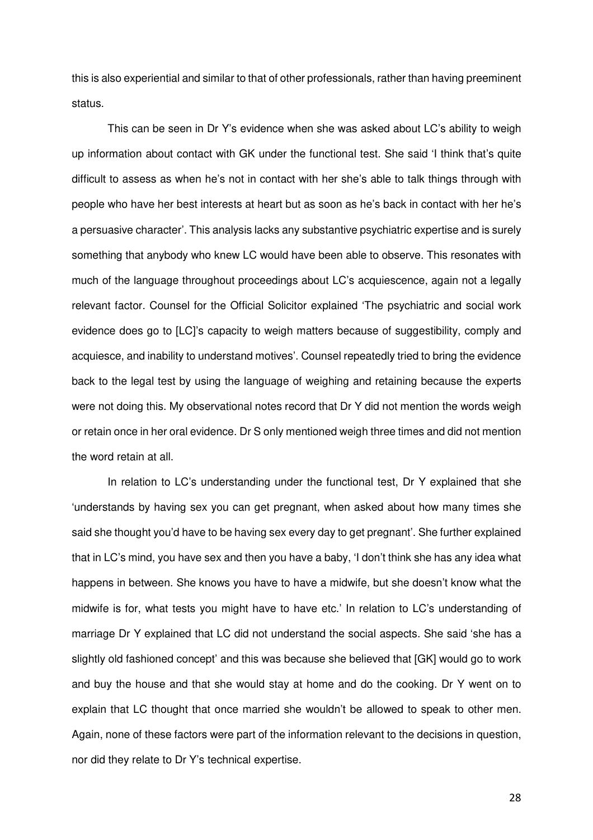this is also experiential and similar to that of other professionals, rather than having preeminent status.

This can be seen in Dr Y's evidence when she was asked about LC's ability to weigh up information about contact with GK under the functional test. She said 'I think that's quite difficult to assess as when he's not in contact with her she's able to talk things through with people who have her best interests at heart but as soon as he's back in contact with her he's a persuasive character'. This analysis lacks any substantive psychiatric expertise and is surely something that anybody who knew LC would have been able to observe. This resonates with much of the language throughout proceedings about LC's acquiescence, again not a legally relevant factor. Counsel for the Official Solicitor explained 'The psychiatric and social work evidence does go to [LC]'s capacity to weigh matters because of suggestibility, comply and acquiesce, and inability to understand motives'. Counsel repeatedly tried to bring the evidence back to the legal test by using the language of weighing and retaining because the experts were not doing this. My observational notes record that Dr Y did not mention the words weigh or retain once in her oral evidence. Dr S only mentioned weigh three times and did not mention the word retain at all.

In relation to LC's understanding under the functional test, Dr Y explained that she 'understands by having sex you can get pregnant, when asked about how many times she said she thought you'd have to be having sex every day to get pregnant'. She further explained that in LC's mind, you have sex and then you have a baby, 'I don't think she has any idea what happens in between. She knows you have to have a midwife, but she doesn't know what the midwife is for, what tests you might have to have etc.' In relation to LC's understanding of marriage Dr Y explained that LC did not understand the social aspects. She said 'she has a slightly old fashioned concept' and this was because she believed that [GK] would go to work and buy the house and that she would stay at home and do the cooking. Dr Y went on to explain that LC thought that once married she wouldn't be allowed to speak to other men. Again, none of these factors were part of the information relevant to the decisions in question, nor did they relate to Dr Y's technical expertise.

28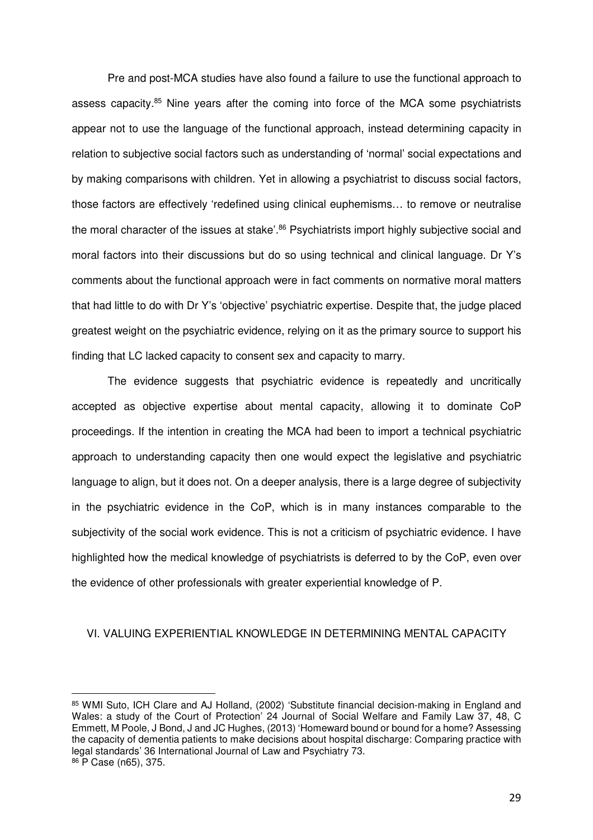Pre and post-MCA studies have also found a failure to use the functional approach to assess capacity.<sup>85</sup> Nine years after the coming into force of the MCA some psychiatrists appear not to use the language of the functional approach, instead determining capacity in relation to subjective social factors such as understanding of 'normal' social expectations and by making comparisons with children. Yet in allowing a psychiatrist to discuss social factors, those factors are effectively 'redefined using clinical euphemisms… to remove or neutralise the moral character of the issues at stake'.<sup>86</sup> Psychiatrists import highly subjective social and moral factors into their discussions but do so using technical and clinical language. Dr Y's comments about the functional approach were in fact comments on normative moral matters that had little to do with Dr Y's 'objective' psychiatric expertise. Despite that, the judge placed greatest weight on the psychiatric evidence, relying on it as the primary source to support his finding that LC lacked capacity to consent sex and capacity to marry.

The evidence suggests that psychiatric evidence is repeatedly and uncritically accepted as objective expertise about mental capacity, allowing it to dominate CoP proceedings. If the intention in creating the MCA had been to import a technical psychiatric approach to understanding capacity then one would expect the legislative and psychiatric language to align, but it does not. On a deeper analysis, there is a large degree of subjectivity in the psychiatric evidence in the CoP, which is in many instances comparable to the subjectivity of the social work evidence. This is not a criticism of psychiatric evidence. I have highlighted how the medical knowledge of psychiatrists is deferred to by the CoP, even over the evidence of other professionals with greater experiential knowledge of P.

# VI. VALUING EXPERIENTIAL KNOWLEDGE IN DETERMINING MENTAL CAPACITY

<sup>85</sup> WMI Suto, ICH Clare and AJ Holland, (2002) 'Substitute financial decision-making in England and Wales: a study of the Court of Protection' 24 Journal of Social Welfare and Family Law 37, 48, C Emmett, M Poole, J Bond, J and JC Hughes, (2013) 'Homeward bound or bound for a home? Assessing the capacity of dementia patients to make decisions about hospital discharge: Comparing practice with legal standards' 36 International Journal of Law and Psychiatry 73. 86 P Case (n65), 375.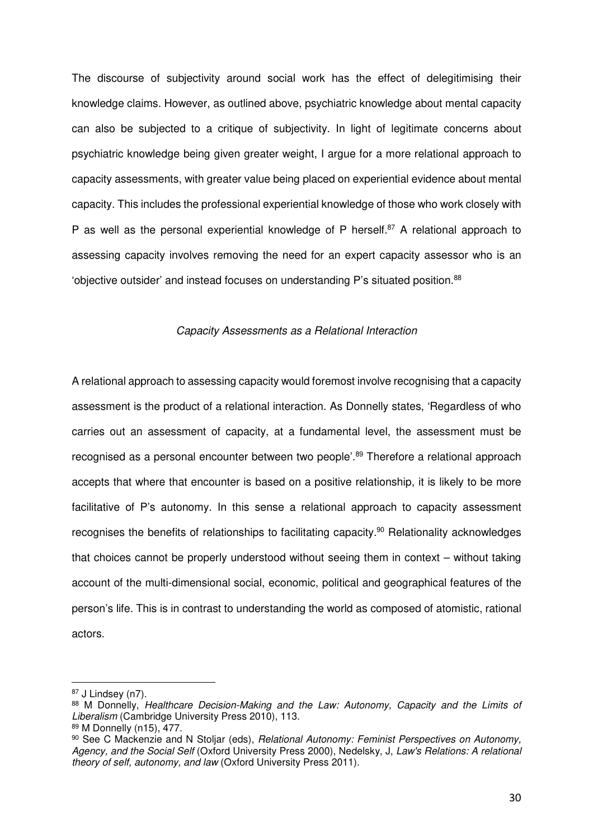The discourse of subjectivity around social work has the effect of delegitimising their knowledge claims. However, as outlined above, psychiatric knowledge about mental capacity can also be subjected to a critique of subjectivity. In light of legitimate concerns about psychiatric knowledge being given greater weight, I argue for a more relational approach to capacity assessments, with greater value being placed on experiential evidence about mental capacity. This includes the professional experiential knowledge of those who work closely with P as well as the personal experiential knowledge of P herself.<sup>87</sup> A relational approach to assessing capacity involves removing the need for an expert capacity assessor who is an 'objective outsider' and instead focuses on understanding P's situated position.<sup>88</sup>

### *Capacity Assessments as a Relational Interaction*

A relational approach to assessing capacity would foremost involve recognising that a capacity assessment is the product of a relational interaction. As Donnelly states, 'Regardless of who carries out an assessment of capacity, at a fundamental level, the assessment must be recognised as a personal encounter between two people<sup>'89</sup> Therefore a relational approach accepts that where that encounter is based on a positive relationship, it is likely to be more facilitative of P's autonomy. In this sense a relational approach to capacity assessment recognises the benefits of relationships to facilitating capacity.<sup>90</sup> Relationality acknowledges that choices cannot be properly understood without seeing them in context – without taking account of the multi-dimensional social, economic, political and geographical features of the person's life. This is in contrast to understanding the world as composed of atomistic, rational actors.

<sup>87</sup> J Lindsey (n7).

<sup>88</sup> M Donnelly, *Healthcare Decision-Making and the Law: Autonomy, Capacity and the Limits of Liberalism* (Cambridge University Press 2010), 113.

<sup>89</sup> M Donnelly (n15), 477.

<sup>90</sup> See C Mackenzie and N Stoljar (eds), *Relational Autonomy: Feminist Perspectives on Autonomy, Agency, and the Social Self* (Oxford University Press 2000), Nedelsky, J, *Law's Relations: A relational theory of self, autonomy, and law* (Oxford University Press 2011).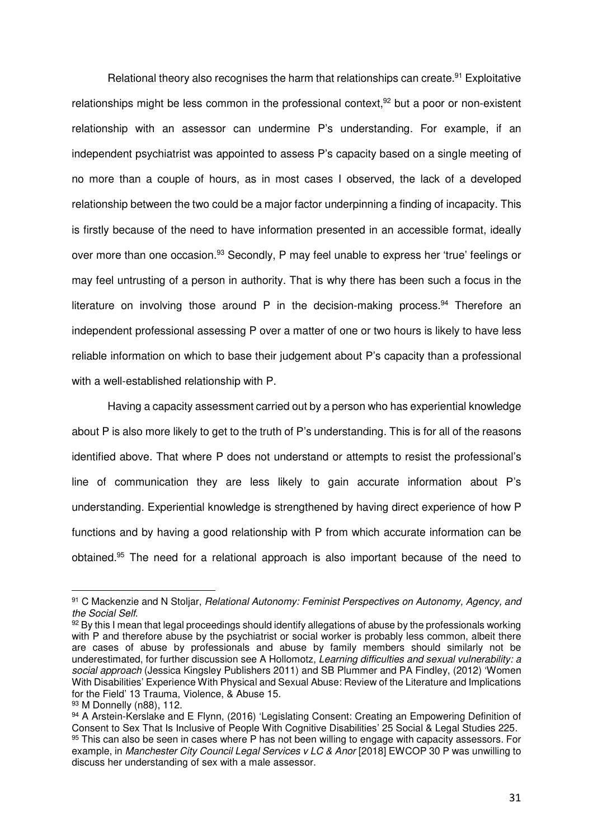Relational theory also recognises the harm that relationships can create.<sup>91</sup> Exploitative relationships might be less common in the professional context, $92$  but a poor or non-existent relationship with an assessor can undermine P's understanding. For example, if an independent psychiatrist was appointed to assess P's capacity based on a single meeting of no more than a couple of hours, as in most cases I observed, the lack of a developed relationship between the two could be a major factor underpinning a finding of incapacity. This is firstly because of the need to have information presented in an accessible format, ideally over more than one occasion.<sup>93</sup> Secondly, P may feel unable to express her 'true' feelings or may feel untrusting of a person in authority. That is why there has been such a focus in the literature on involving those around P in the decision-making process.  $94$  Therefore an independent professional assessing P over a matter of one or two hours is likely to have less reliable information on which to base their judgement about P's capacity than a professional with a well-established relationship with P.

Having a capacity assessment carried out by a person who has experiential knowledge about P is also more likely to get to the truth of P's understanding. This is for all of the reasons identified above. That where P does not understand or attempts to resist the professional's line of communication they are less likely to gain accurate information about P's understanding. Experiential knowledge is strengthened by having direct experience of how P functions and by having a good relationship with P from which accurate information can be obtained.<sup>95</sup> The need for a relational approach is also important because of the need to

<sup>91</sup> C Mackenzie and N Stoljar, *Relational Autonomy: Feminist Perspectives on Autonomy, Agency, and the Social Self*.

<sup>92</sup> By this I mean that legal proceedings should identify allegations of abuse by the professionals working with P and therefore abuse by the psychiatrist or social worker is probably less common, albeit there are cases of abuse by professionals and abuse by family members should similarly not be underestimated, for further discussion see A Hollomotz, *Learning difficulties and sexual vulnerability: a social approach* (Jessica Kingsley Publishers 2011) and SB Plummer and PA Findley, (2012) 'Women With Disabilities' Experience With Physical and Sexual Abuse: Review of the Literature and Implications for the Field' 13 Trauma, Violence, & Abuse 15.

<sup>93</sup> M Donnelly (n88), 112.

<sup>94</sup> A Arstein-Kerslake and E Flynn, (2016) 'Legislating Consent: Creating an Empowering Definition of Consent to Sex That Is Inclusive of People With Cognitive Disabilities' 25 Social & Legal Studies 225. 95 This can also be seen in cases where P has not been willing to engage with capacity assessors. For example, in *Manchester City Council Legal Services v LC & Anor* [2018] EWCOP 30 P was unwilling to discuss her understanding of sex with a male assessor.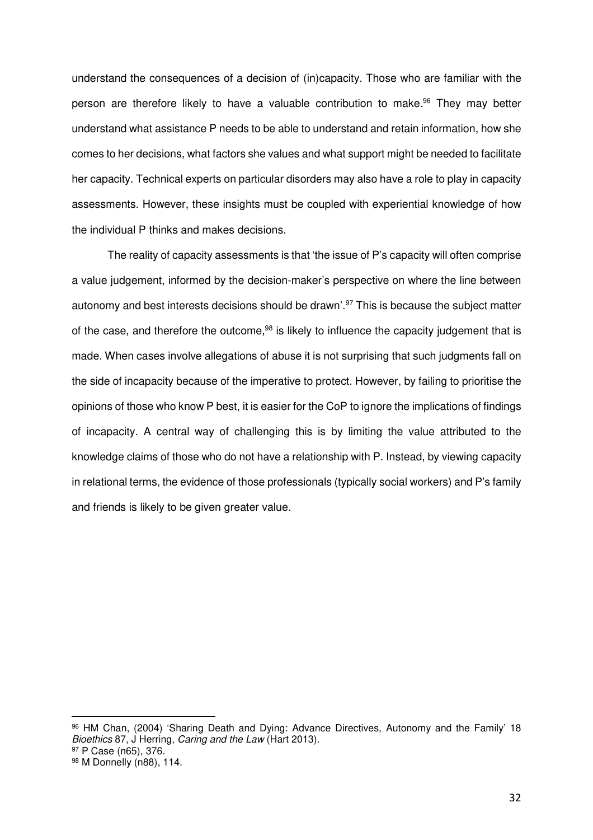understand the consequences of a decision of (in)capacity. Those who are familiar with the person are therefore likely to have a valuable contribution to make.<sup>96</sup> They may better understand what assistance P needs to be able to understand and retain information, how she comes to her decisions, what factors she values and what support might be needed to facilitate her capacity. Technical experts on particular disorders may also have a role to play in capacity assessments. However, these insights must be coupled with experiential knowledge of how the individual P thinks and makes decisions.

The reality of capacity assessments is that 'the issue of P's capacity will often comprise a value judgement, informed by the decision-maker's perspective on where the line between autonomy and best interests decisions should be drawn'.<sup>97</sup> This is because the subject matter of the case, and therefore the outcome,<sup>98</sup> is likely to influence the capacity judgement that is made. When cases involve allegations of abuse it is not surprising that such judgments fall on the side of incapacity because of the imperative to protect. However, by failing to prioritise the opinions of those who know P best, it is easier for the CoP to ignore the implications of findings of incapacity. A central way of challenging this is by limiting the value attributed to the knowledge claims of those who do not have a relationship with P. Instead, by viewing capacity in relational terms, the evidence of those professionals (typically social workers) and P's family and friends is likely to be given greater value.

<sup>96</sup> HM Chan, (2004) 'Sharing Death and Dying: Advance Directives, Autonomy and the Family' 18 *Bioethics* 87, J Herring, *Caring and the Law* (Hart 2013). <sup>97</sup> P Case (n65), 376.

<sup>98</sup> M Donnelly (n88), 114.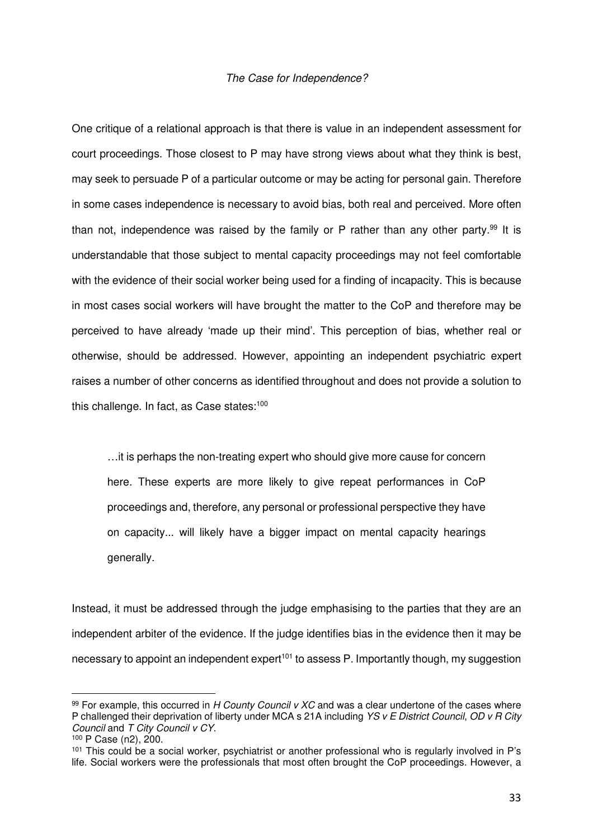#### *The Case for Independence?*

One critique of a relational approach is that there is value in an independent assessment for court proceedings. Those closest to P may have strong views about what they think is best, may seek to persuade P of a particular outcome or may be acting for personal gain. Therefore in some cases independence is necessary to avoid bias, both real and perceived. More often than not, independence was raised by the family or P rather than any other party.<sup>99</sup> It is understandable that those subject to mental capacity proceedings may not feel comfortable with the evidence of their social worker being used for a finding of incapacity. This is because in most cases social workers will have brought the matter to the CoP and therefore may be perceived to have already 'made up their mind'. This perception of bias, whether real or otherwise, should be addressed. However, appointing an independent psychiatric expert raises a number of other concerns as identified throughout and does not provide a solution to this challenge. In fact, as Case states:<sup>100</sup>

…it is perhaps the non-treating expert who should give more cause for concern here. These experts are more likely to give repeat performances in CoP proceedings and, therefore, any personal or professional perspective they have on capacity... will likely have a bigger impact on mental capacity hearings generally.

Instead, it must be addressed through the judge emphasising to the parties that they are an independent arbiter of the evidence. If the judge identifies bias in the evidence then it may be necessary to appoint an independent expert<sup>101</sup> to assess P. Importantly though, my suggestion

<sup>99</sup> For example, this occurred in *H County Council v XC* and was a clear undertone of the cases where P challenged their deprivation of liberty under MCA s 21A including *YS v E District Council*, *OD v R City Council* and *T City Council v CY*.

<sup>100</sup> P Case (n2), 200.

<sup>&</sup>lt;sup>101</sup> This could be a social worker, psychiatrist or another professional who is regularly involved in P's life. Social workers were the professionals that most often brought the CoP proceedings. However, a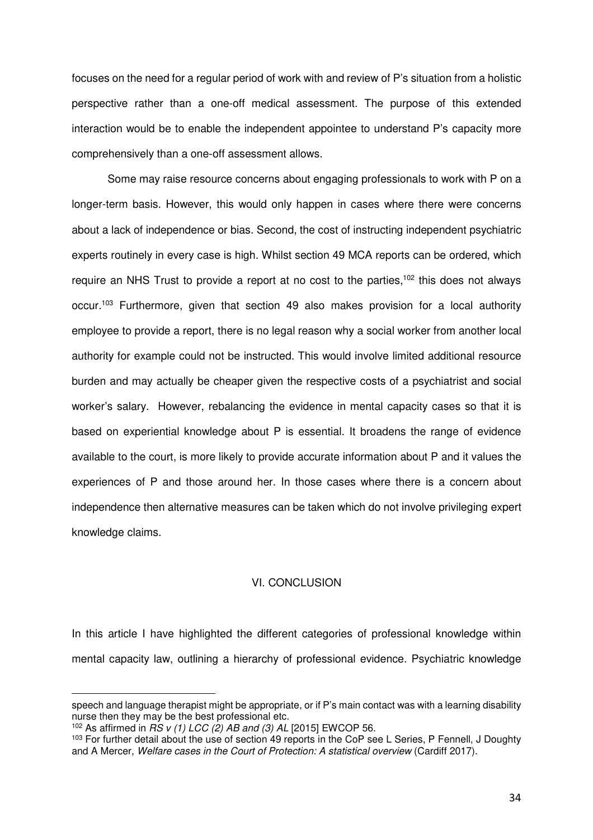focuses on the need for a regular period of work with and review of P's situation from a holistic perspective rather than a one-off medical assessment. The purpose of this extended interaction would be to enable the independent appointee to understand P's capacity more comprehensively than a one-off assessment allows.

Some may raise resource concerns about engaging professionals to work with P on a longer-term basis. However, this would only happen in cases where there were concerns about a lack of independence or bias. Second, the cost of instructing independent psychiatric experts routinely in every case is high. Whilst section 49 MCA reports can be ordered, which require an NHS Trust to provide a report at no cost to the parties,<sup>102</sup> this does not always occur.<sup>103</sup> Furthermore, given that section 49 also makes provision for a local authority employee to provide a report, there is no legal reason why a social worker from another local authority for example could not be instructed. This would involve limited additional resource burden and may actually be cheaper given the respective costs of a psychiatrist and social worker's salary. However, rebalancing the evidence in mental capacity cases so that it is based on experiential knowledge about P is essential. It broadens the range of evidence available to the court, is more likely to provide accurate information about P and it values the experiences of P and those around her. In those cases where there is a concern about independence then alternative measures can be taken which do not involve privileging expert knowledge claims.

# VI. CONCLUSION

In this article I have highlighted the different categories of professional knowledge within mental capacity law, outlining a hierarchy of professional evidence. Psychiatric knowledge

speech and language therapist might be appropriate, or if P's main contact was with a learning disability nurse then they may be the best professional etc.

<sup>102</sup> As affirmed in *RS v (1) LCC (2) AB and (3) AL* [2015] EWCOP 56.

<sup>&</sup>lt;sup>103</sup> For further detail about the use of section 49 reports in the CoP see L Series, P Fennell, J Doughty and A Mercer, *Welfare cases in the Court of Protection: A statistical overview* (Cardiff 2017).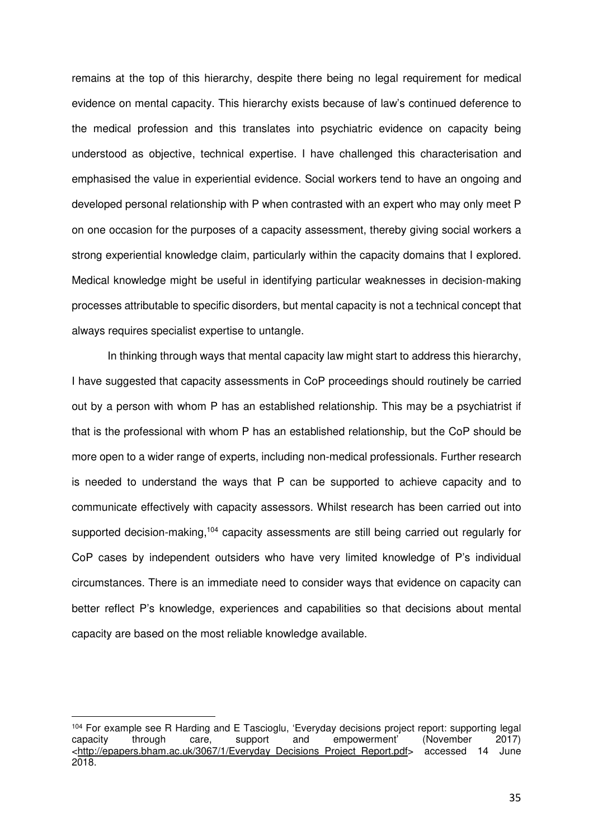remains at the top of this hierarchy, despite there being no legal requirement for medical evidence on mental capacity. This hierarchy exists because of law's continued deference to the medical profession and this translates into psychiatric evidence on capacity being understood as objective, technical expertise. I have challenged this characterisation and emphasised the value in experiential evidence. Social workers tend to have an ongoing and developed personal relationship with P when contrasted with an expert who may only meet P on one occasion for the purposes of a capacity assessment, thereby giving social workers a strong experiential knowledge claim, particularly within the capacity domains that I explored. Medical knowledge might be useful in identifying particular weaknesses in decision-making processes attributable to specific disorders, but mental capacity is not a technical concept that always requires specialist expertise to untangle.

 In thinking through ways that mental capacity law might start to address this hierarchy, I have suggested that capacity assessments in CoP proceedings should routinely be carried out by a person with whom P has an established relationship. This may be a psychiatrist if that is the professional with whom P has an established relationship, but the CoP should be more open to a wider range of experts, including non-medical professionals. Further research is needed to understand the ways that P can be supported to achieve capacity and to communicate effectively with capacity assessors. Whilst research has been carried out into supported decision-making,<sup>104</sup> capacity assessments are still being carried out regularly for CoP cases by independent outsiders who have very limited knowledge of P's individual circumstances. There is an immediate need to consider ways that evidence on capacity can better reflect P's knowledge, experiences and capabilities so that decisions about mental capacity are based on the most reliable knowledge available.

<sup>&</sup>lt;sup>104</sup> For example see R Harding and E Tascioglu, 'Everyday decisions project report: supporting legal<br>capacity through care support and empowerment' (November 2017) empowerment' <http://epapers.bham.ac.uk/3067/1/Everyday\_Decisions\_Project\_Report.pdf> accessed 14 June 2018.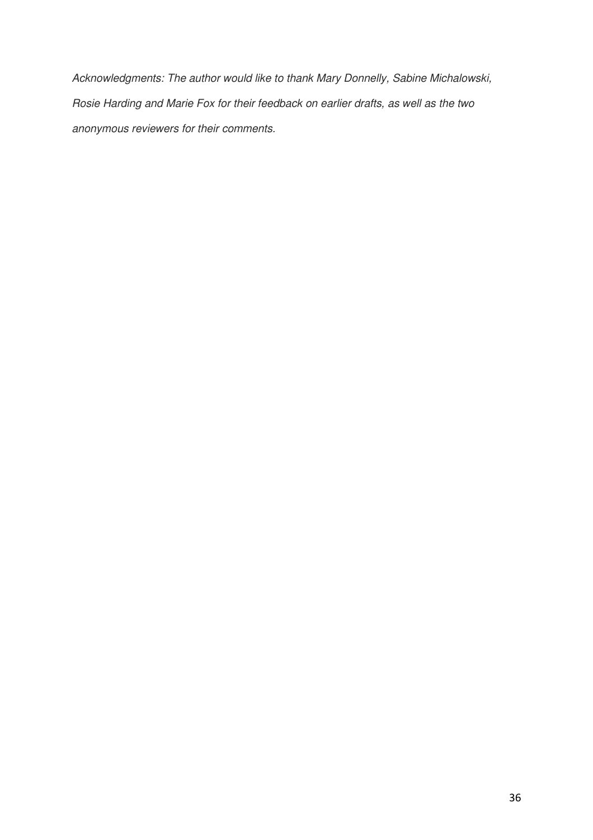*Acknowledgments: The author would like to thank Mary Donnelly, Sabine Michalowski, Rosie Harding and Marie Fox for their feedback on earlier drafts, as well as the two anonymous reviewers for their comments.*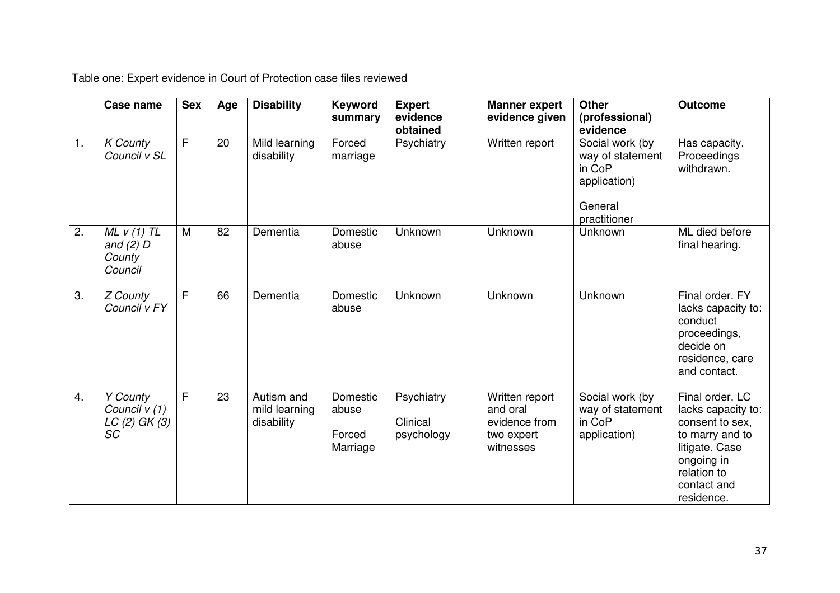Table one: Expert evidence in Court of Protection case files reviewed

|    | Case name                                              | <b>Sex</b> | Age | <b>Disability</b>                         | Keyword<br>summary                      | <b>Expert</b><br>evidence<br>obtained | <b>Manner expert</b><br>evidence given                                 | <b>Other</b><br>(professional)<br>evidence                                               | <b>Outcome</b>                                                                                                                                          |
|----|--------------------------------------------------------|------------|-----|-------------------------------------------|-----------------------------------------|---------------------------------------|------------------------------------------------------------------------|------------------------------------------------------------------------------------------|---------------------------------------------------------------------------------------------------------------------------------------------------------|
| 1. | <b>K</b> County<br>Council v SL                        | F          | 20  | Mild learning<br>disability               | Forced<br>marriage                      | Psychiatry                            | Written report                                                         | Social work (by<br>way of statement<br>in CoP<br>application)<br>General<br>practitioner | Has capacity.<br>Proceedings<br>withdrawn.                                                                                                              |
| 2. | MLV(1)TL<br>and $(2)$ D<br>County<br>Council           | M          | 82  | Dementia                                  | Domestic<br>abuse                       | Unknown                               | Unknown                                                                | Unknown                                                                                  | ML died before<br>final hearing.                                                                                                                        |
| 3. | Z County<br>Council v FY                               | F          | 66  | Dementia                                  | Domestic<br>abuse                       | Unknown                               | <b>Unknown</b>                                                         | Unknown                                                                                  | Final order, FY<br>lacks capacity to:<br>conduct<br>proceedings,<br>decide on<br>residence, care<br>and contact.                                        |
| 4. | <b>Y</b> County<br>Council $v(1)$<br>LC(2) GK(3)<br>SC | F          | 23  | Autism and<br>mild learning<br>disability | Domestic<br>abuse<br>Forced<br>Marriage | Psychiatry<br>Clinical<br>psychology  | Written report<br>and oral<br>evidence from<br>two expert<br>witnesses | Social work (by<br>way of statement<br>in CoP<br>application)                            | Final order. LC<br>lacks capacity to:<br>consent to sex,<br>to marry and to<br>litigate. Case<br>ongoing in<br>relation to<br>contact and<br>residence. |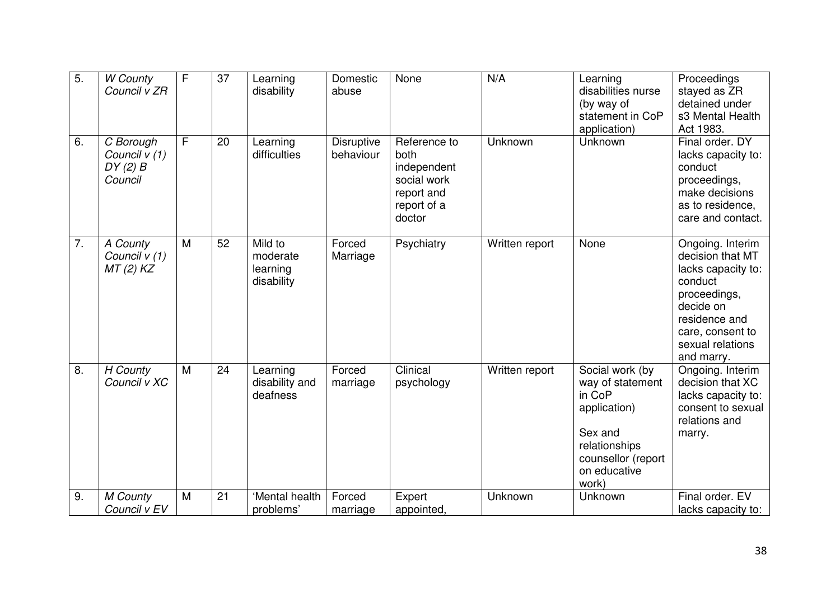| $\overline{F}$<br>Final order. DY<br><b>Disruptive</b><br>Unknown<br>C Borough<br>20<br>Learning<br>Reference to<br>Unknown<br>6.<br>Council v (1)<br>difficulties<br>behaviour<br>both<br>lacks capacity to:                                                                                                                                                                                                   | s3 Mental Health |
|-----------------------------------------------------------------------------------------------------------------------------------------------------------------------------------------------------------------------------------------------------------------------------------------------------------------------------------------------------------------------------------------------------------------|------------------|
| DY(2)B<br>independent<br>conduct<br>Council<br>social work<br>proceedings,<br>make decisions<br>report and<br>report of a<br>as to residence,<br>doctor<br>care and contact.                                                                                                                                                                                                                                    |                  |
| 7.<br>52<br>Mild to<br>A County<br>M<br>Forced<br>Psychiatry<br>Written report<br>None<br>Ongoing. Interim<br>decision that MT<br>Council v (1)<br>moderate<br>Marriage<br>MT(2) KZ<br>learning<br>lacks capacity to:<br>conduct<br>disability<br>proceedings,<br>decide on<br>residence and<br>care, consent to<br>sexual relations<br>and marry.                                                              |                  |
| M<br>24<br>Clinical<br>8.<br>Forced<br>Written report<br>Social work (by<br>H County<br>Learning<br>Ongoing. Interim<br>Council v XC<br>disability and<br>decision that XC<br>psychology<br>way of statement<br>marriage<br>in CoP<br>deafness<br>lacks capacity to:<br>consent to sexual<br>application)<br>relations and<br>Sex and<br>marry.<br>relationships<br>counsellor (report<br>on educative<br>work) |                  |
| Final order. EV<br>M County<br>M<br>21<br>'Mental health<br>9.<br>Forced<br>Expert<br>Unknown<br>Unknown<br>Council v EV<br>problems'<br>appointed,<br>lacks capacity to:<br>marriage                                                                                                                                                                                                                           |                  |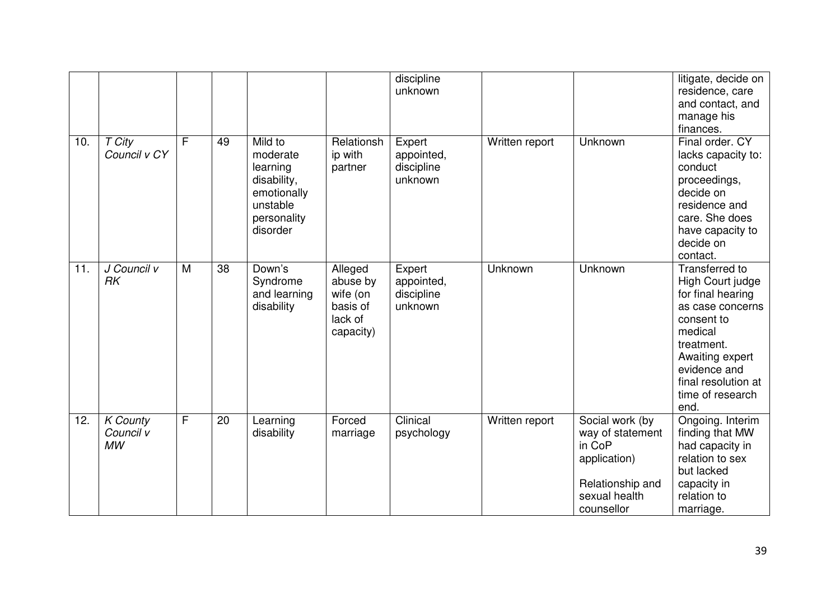|     |                                    |   |    |                                                                                                      |                                                                     | discipline<br>unknown                         |                |                                                                                                                  | litigate, decide on<br>residence, care<br>and contact, and<br>manage his<br>finances.                                                                                                                    |
|-----|------------------------------------|---|----|------------------------------------------------------------------------------------------------------|---------------------------------------------------------------------|-----------------------------------------------|----------------|------------------------------------------------------------------------------------------------------------------|----------------------------------------------------------------------------------------------------------------------------------------------------------------------------------------------------------|
| 10. | T City<br>Council v CY             | F | 49 | Mild to<br>moderate<br>learning<br>disability,<br>emotionally<br>unstable<br>personality<br>disorder | Relationsh<br>ip with<br>partner                                    | Expert<br>appointed,<br>discipline<br>unknown | Written report | Unknown                                                                                                          | Final order. CY<br>lacks capacity to:<br>conduct<br>proceedings,<br>decide on<br>residence and<br>care. She does<br>have capacity to<br>decide on<br>contact.                                            |
| 11. | J Council v<br>RK                  | M | 38 | Down's<br>Syndrome<br>and learning<br>disability                                                     | Alleged<br>abuse by<br>wife (on<br>basis of<br>lack of<br>capacity) | Expert<br>appointed,<br>discipline<br>unknown | Unknown        | Unknown                                                                                                          | Transferred to<br>High Court judge<br>for final hearing<br>as case concerns<br>consent to<br>medical<br>treatment.<br>Awaiting expert<br>evidence and<br>final resolution at<br>time of research<br>end. |
| 12. | <b>K</b> County<br>Council v<br>MW | F | 20 | Learning<br>disability                                                                               | Forced<br>marriage                                                  | Clinical<br>psychology                        | Written report | Social work (by<br>way of statement<br>in CoP<br>application)<br>Relationship and<br>sexual health<br>counsellor | Ongoing. Interim<br>finding that MW<br>had capacity in<br>relation to sex<br>but lacked<br>capacity in<br>relation to<br>marriage.                                                                       |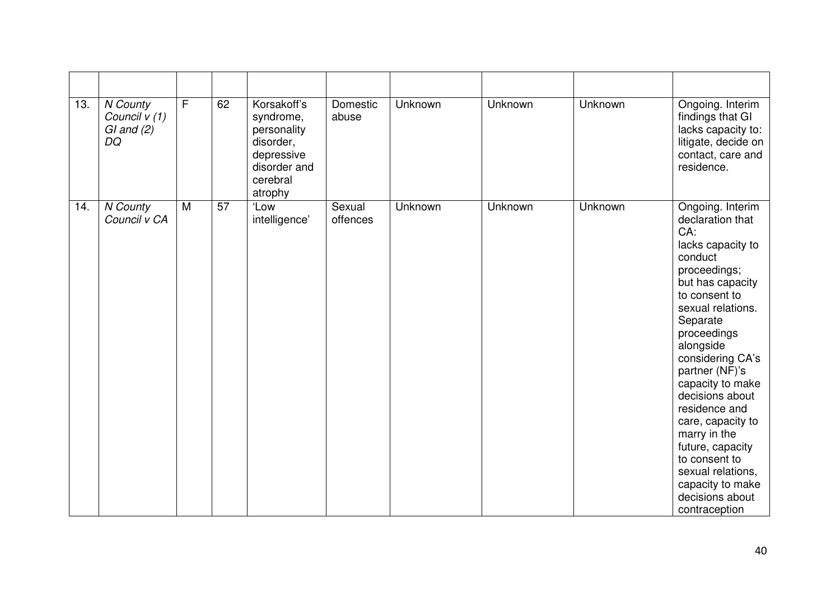| 13. | N County<br>Council v (1)<br>$Gl$ and $(2)$<br>DQ | $\overline{F}$ | 62 | Korsakoff's<br>syndrome,<br>personality<br>disorder,<br>depressive<br>disorder and<br>cerebral<br>atrophy | Domestic<br>abuse  | Unknown | Unknown | Unknown | Ongoing. Interim<br>findings that GI<br>lacks capacity to:<br>litigate, decide on<br>contact, care and<br>residence.                                                                                                                                                                                                                                                                                                                               |
|-----|---------------------------------------------------|----------------|----|-----------------------------------------------------------------------------------------------------------|--------------------|---------|---------|---------|----------------------------------------------------------------------------------------------------------------------------------------------------------------------------------------------------------------------------------------------------------------------------------------------------------------------------------------------------------------------------------------------------------------------------------------------------|
| 14. | N County<br>Council v CA                          | M              | 57 | 'Low<br>intelligence'                                                                                     | Sexual<br>offences | Unknown | Unknown | Unknown | Ongoing. Interim<br>declaration that<br>CA:<br>lacks capacity to<br>conduct<br>proceedings;<br>but has capacity<br>to consent to<br>sexual relations.<br>Separate<br>proceedings<br>alongside<br>considering CA's<br>partner (NF)'s<br>capacity to make<br>decisions about<br>residence and<br>care, capacity to<br>marry in the<br>future, capacity<br>to consent to<br>sexual relations,<br>capacity to make<br>decisions about<br>contraception |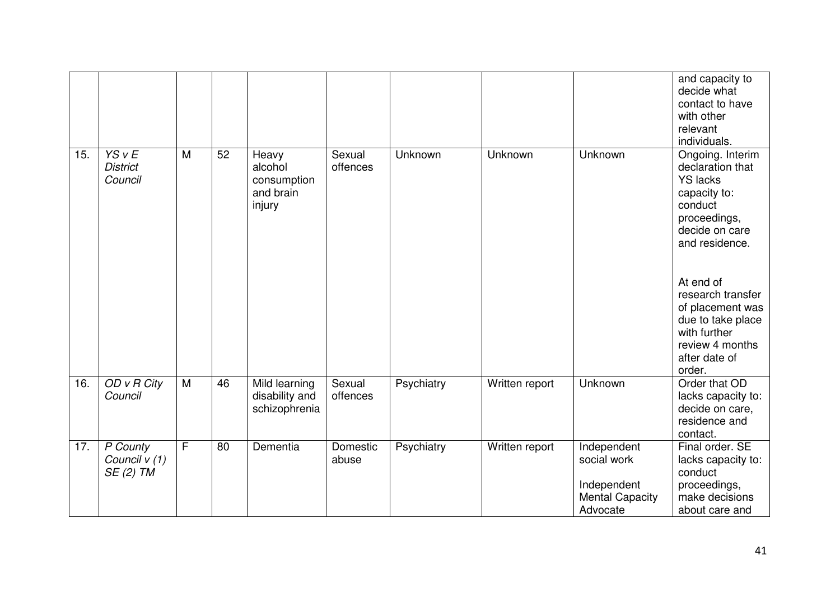|     |                                                 |              |    |                                                        |                    |            |                |                                                                                 | and capacity to<br>decide what<br>contact to have<br>with other<br>relevant<br>individuals.                                                                                                                                                                                     |
|-----|-------------------------------------------------|--------------|----|--------------------------------------------------------|--------------------|------------|----------------|---------------------------------------------------------------------------------|---------------------------------------------------------------------------------------------------------------------------------------------------------------------------------------------------------------------------------------------------------------------------------|
| 15. | YS <sub>V</sub> E<br><b>District</b><br>Council | M            | 52 | Heavy<br>alcohol<br>consumption<br>and brain<br>injury | Sexual<br>offences | Unknown    | <b>Unknown</b> | <b>Unknown</b>                                                                  | Ongoing. Interim<br>declaration that<br><b>YS lacks</b><br>capacity to:<br>conduct<br>proceedings,<br>decide on care<br>and residence.<br>At end of<br>research transfer<br>of placement was<br>due to take place<br>with further<br>review 4 months<br>after date of<br>order. |
| 16. | $OD$ v $R$ City<br>Council                      | M            | 46 | Mild learning<br>disability and<br>schizophrenia       | Sexual<br>offences | Psychiatry | Written report | Unknown                                                                         | Order that OD<br>lacks capacity to:<br>decide on care,<br>residence and<br>contact.                                                                                                                                                                                             |
| 17. | P County<br>Council v (1)<br>SE (2) TM          | $\mathsf{F}$ | 80 | Dementia                                               | Domestic<br>abuse  | Psychiatry | Written report | Independent<br>social work<br>Independent<br><b>Mental Capacity</b><br>Advocate | Final order. SE<br>lacks capacity to:<br>conduct<br>proceedings,<br>make decisions<br>about care and                                                                                                                                                                            |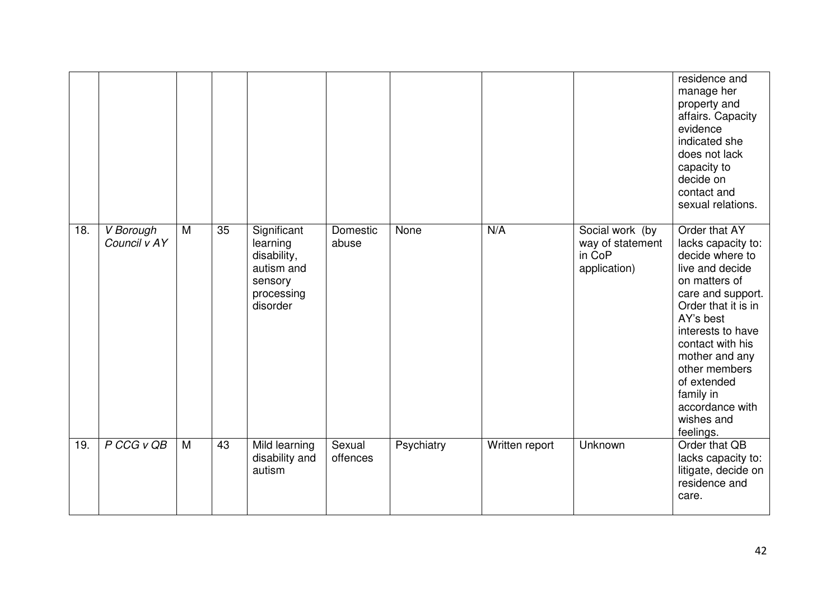|     |                           |   |    |                                                                                           |                    |            |                |                                                               | residence and<br>manage her<br>property and<br>affairs. Capacity<br>evidence<br>indicated she<br>does not lack<br>capacity to<br>decide on<br>contact and<br>sexual relations.                                                                                                                            |
|-----|---------------------------|---|----|-------------------------------------------------------------------------------------------|--------------------|------------|----------------|---------------------------------------------------------------|-----------------------------------------------------------------------------------------------------------------------------------------------------------------------------------------------------------------------------------------------------------------------------------------------------------|
| 18. | V Borough<br>Council v AY | M | 35 | Significant<br>learning<br>disability,<br>autism and<br>sensory<br>processing<br>disorder | Domestic<br>abuse  | None       | N/A            | Social work (by<br>way of statement<br>in CoP<br>application) | Order that AY<br>lacks capacity to:<br>decide where to<br>live and decide<br>on matters of<br>care and support.<br>Order that it is in<br>AY's best<br>interests to have<br>contact with his<br>mother and any<br>other members<br>of extended<br>family in<br>accordance with<br>wishes and<br>feelings. |
| 19. | $\overline{PCGG}$ v QB    | M | 43 | Mild learning<br>disability and<br>autism                                                 | Sexual<br>offences | Psychiatry | Written report | Unknown                                                       | Order that QB<br>lacks capacity to:<br>litigate, decide on<br>residence and<br>care.                                                                                                                                                                                                                      |